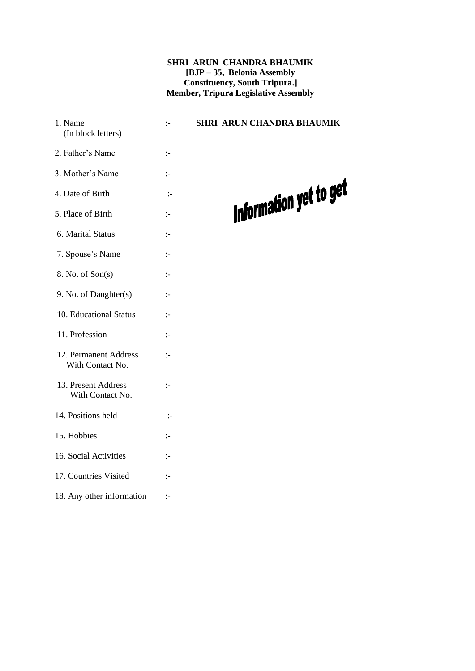#### **SHRI ARUN CHANDRA BHAUMIK [BJP – 35, Belonia Assembly Constituency, South Tripura.] Member, Tripura Legislative Assembly**

- 1. Name :- **SHRI ARUN CHANDRA BHAUMIK** (In block letters) 2. Father's Name :- 3. Mother's Name :- 4. Date of Birth :- 5. Place of Birth :- 6. Marital Status :- 7. Spouse's Name :- 8. No. of Son(s) :- 9. No. of Daughter(s) :- 10. Educational Status :- 11. Profession :- 12. Permanent Address :- With Contact No. 13. Present Address :- With Contact No. 14. Positions held :- 15. Hobbies :- 16. Social Activities :- 17. Countries Visited :-
- 18. Any other information :-

### Information yet to get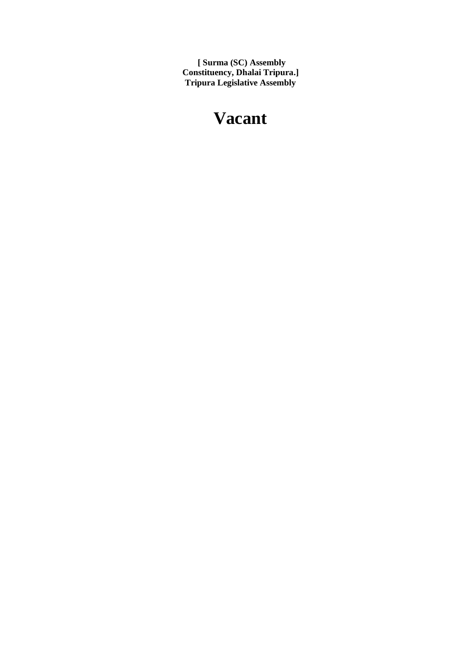**[ Surma (SC) Assembly Constituency, Dhalai Tripura.] Tripura Legislative Assembly**

### **Vacant**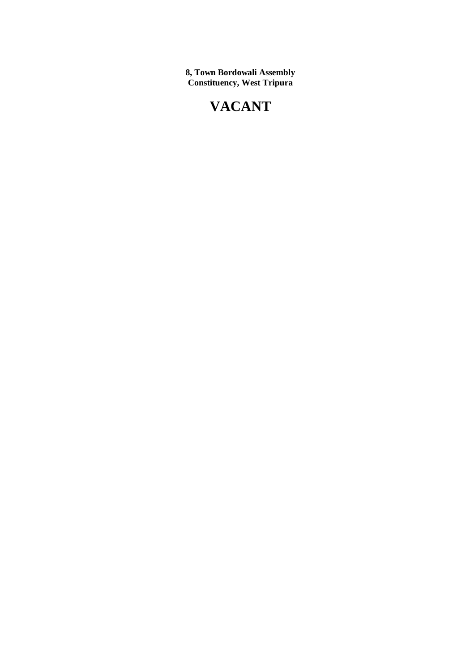**8, Town Bordowali Assembly Constituency, West Tripura**

### **VACANT**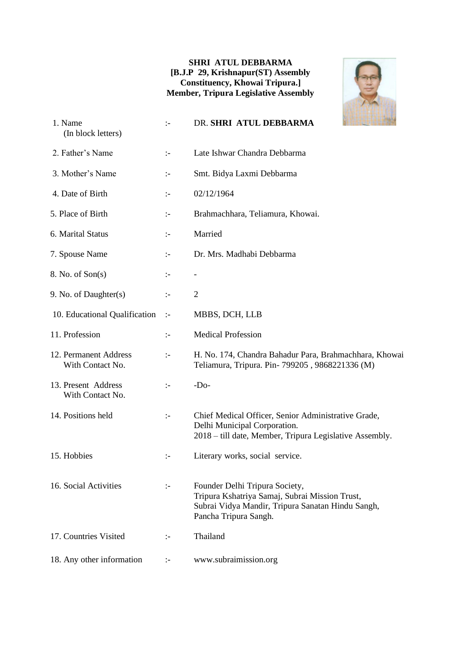#### **SHRI ATUL DEBBARMA [B.J.P 29, Krishnapur(ST) Assembly Constituency, Khowai Tripura.] Member, Tripura Legislative Assembly**



| 1. Name<br>(In block letters)             | $\mathbf{I}$         | DR. SHRI ATUL DEBBARMA                                                                                                                                         |
|-------------------------------------------|----------------------|----------------------------------------------------------------------------------------------------------------------------------------------------------------|
| 2. Father's Name                          | $\mathbf{L}$         | Late Ishwar Chandra Debbarma                                                                                                                                   |
| 3. Mother's Name                          | ÷                    | Smt. Bidya Laxmi Debbarma                                                                                                                                      |
| 4. Date of Birth                          | :-                   | 02/12/1964                                                                                                                                                     |
| 5. Place of Birth                         | $\mathbf{I}$         | Brahmachhara, Teliamura, Khowai.                                                                                                                               |
| 6. Marital Status                         | ÷                    | Married                                                                                                                                                        |
| 7. Spouse Name                            | $\mathbb{I}^{\perp}$ | Dr. Mrs. Madhabi Debbarma                                                                                                                                      |
| 8. No. of Son(s)                          | $\mathbb{I}^{\perp}$ | $\overline{\phantom{a}}$                                                                                                                                       |
| 9. No. of Daughter(s)                     | $\mathbf{I}$         | $\overline{2}$                                                                                                                                                 |
| 10. Educational Qualification             | $\mathbb{I}^-$       | MBBS, DCH, LLB                                                                                                                                                 |
| 11. Profession                            | $\mathbf{L}$         | <b>Medical Profession</b>                                                                                                                                      |
| 12. Permanent Address<br>With Contact No. | $\mathbf{I}$         | H. No. 174, Chandra Bahadur Para, Brahmachhara, Khowai<br>Teliamura, Tripura. Pin-799205, 9868221336 (M)                                                       |
| 13. Present Address<br>With Contact No.   | $\mathbf{I}$         | $-Do-$                                                                                                                                                         |
| 14. Positions held                        | $\mathbf{I}$         | Chief Medical Officer, Senior Administrative Grade,<br>Delhi Municipal Corporation.<br>2018 – till date, Member, Tripura Legislative Assembly.                 |
| 15. Hobbies                               | $\mathbf{I}$         | Literary works, social service.                                                                                                                                |
| 16. Social Activities                     | $\mathbb{I}^{\perp}$ | Founder Delhi Tripura Society,<br>Tripura Kshatriya Samaj, Subrai Mission Trust,<br>Subrai Vidya Mandir, Tripura Sanatan Hindu Sangh,<br>Pancha Tripura Sangh. |
| 17. Countries Visited                     | ÷                    | Thailand                                                                                                                                                       |
| 18. Any other information                 | :-                   | www.subraimission.org                                                                                                                                          |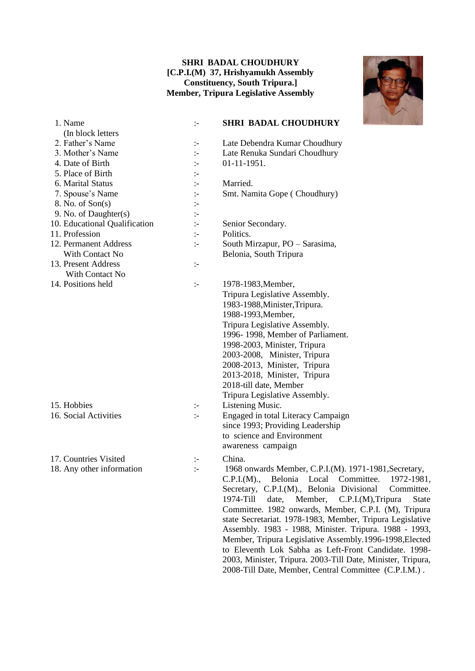#### **SHRI BADAL CHOUDHURY [C.P.I.(M) 37, Hrishyamukh Assembly Constituency, South Tripura.] Member, Tripura Legislative Assembly**



| 1. Name                       |              |
|-------------------------------|--------------|
| (In block letters             |              |
| 2. Father's Name              |              |
| 3. Mother's Name              | ÷.           |
| 4. Date of Birth              |              |
| 5. Place of Birth             | :-           |
| 6. Marital Status             |              |
| 7. Spouse's Name              | ÷.           |
| 8. No. of Son(s)              | :-           |
| 9. No. of Daughter(s)         |              |
| 10. Educational Qualification | $\mathbf{L}$ |
| 11. Profession                |              |
| 12. Permanent Address         | :-           |
| With Contact No               |              |
| 13. Present Address           | :-           |
| With Contact No.              |              |
| 14. Positions held            | :-           |
|                               |              |
|                               |              |
|                               |              |
|                               |              |
|                               |              |
|                               |              |
|                               |              |

#### 1. Name :- **SHRI BADAL CHOUDHURY**

- :- Late Debendra Kumar Choudhury :- Late Renuka Sundari Choudhury  $\cdot$  01-11-1951. :- Married. :- Smt. Namita Gope ( Choudhury) on  $\qquad \qquad : \qquad$  Senior Secondary. :- Politics.  $12.$  South Mirzapur, PO – Sarasima, Belonia, South Tripura :- 1978-1983, Member, Tripura Legislative Assembly. 1983-1988,Minister,Tripura. 1988-1993,Member, Tripura Legislative Assembly. 1996- 1998, Member of Parliament. 1998-2003, Minister, Tripura 2003-2008, Minister, Tripura 2008-2013, Minister, Tripura 2013-2018, Minister, Tripura 2018-till date, Member Tripura Legislative Assembly. 15. Hobbies :- Listening Music. 16. Social Activities :- Engaged in total Literacy Campaign since 1993; Providing Leadership to science and Environment awareness campaign
- 17. Countries Visited :- China.
- 
- 

18. Any other information :- 1968 onwards Member, C.P.I.(M). 1971-1981, Secretary, C.P.I.(M)., Belonia Local Committee. 1972-1981, Secretary, C.P.I.(M)., Belonia Divisional Committee. 1974-Till date, Member, C.P.I.(M),Tripura State Committee. 1982 onwards, Member, C.P.I. (M), Tripura state Secretariat. 1978-1983, Member, Tripura Legislative Assembly. 1983 - 1988, Minister. Tripura. 1988 - 1993, Member, Tripura Legislative Assembly.1996-1998,Elected to Eleventh Lok Sabha as Left-Front Candidate. 1998- 2003, Minister, Tripura. 2003-Till Date, Minister, Tripura, 2008-Till Date, Member, Central Committee (C.P.I.M.) .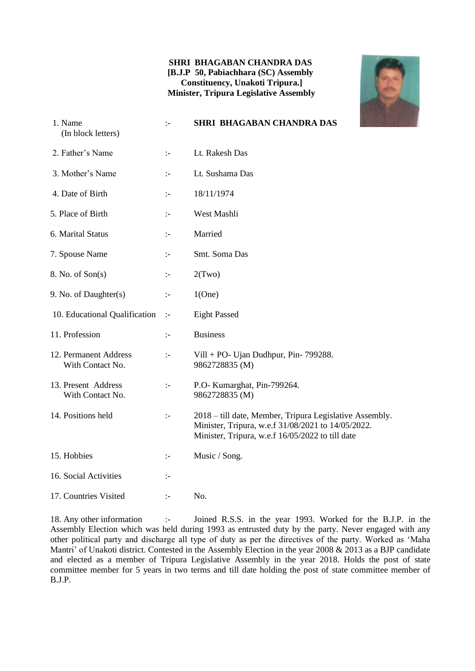#### **SHRI BHAGABAN CHANDRA DAS [B.J.P 50, Pabiachhara (SC) Assembly Constituency, Unakoti Tripura.] Minister, Tripura Legislative Assembly**



| 1. Name<br>(In block letters)             | $\mathbb{I}$         | <b>SHRI BHAGABAN CHANDRA DAS</b>                                                                                                                                  |
|-------------------------------------------|----------------------|-------------------------------------------------------------------------------------------------------------------------------------------------------------------|
| 2. Father's Name                          | $\mathbb{I}^{\perp}$ | Lt. Rakesh Das                                                                                                                                                    |
| 3. Mother's Name                          | $\mathbb{I}$         | Lt. Sushama Das                                                                                                                                                   |
| 4. Date of Birth                          | $\mathbb{I}$         | 18/11/1974                                                                                                                                                        |
| 5. Place of Birth                         | $\mathbb{I}$         | West Mashli                                                                                                                                                       |
| 6. Marital Status                         | $\mathbb{I}$         | Married                                                                                                                                                           |
| 7. Spouse Name                            | $\mathbb{I}$         | Smt. Soma Das                                                                                                                                                     |
| 8. No. of Son(s)                          | $\mathbb{I}$         | 2(Two)                                                                                                                                                            |
| 9. No. of Daughter(s)                     | $\mathbb{I}$         | 1(One)                                                                                                                                                            |
| 10. Educational Qualification             | $\div$               | <b>Eight Passed</b>                                                                                                                                               |
| 11. Profession                            | $\mathbb{I}$         | <b>Business</b>                                                                                                                                                   |
| 12. Permanent Address<br>With Contact No. | $\mathbb{I}$         | Vill + PO- Ujan Dudhpur, Pin- $799288$ .<br>9862728835 (M)                                                                                                        |
| 13. Present Address<br>With Contact No.   | $\mathbb{I}^-$       | P.O- Kumarghat, Pin-799264.<br>9862728835 (M)                                                                                                                     |
| 14. Positions held                        | $\mathbb{I}^-$       | 2018 – till date, Member, Tripura Legislative Assembly.<br>Minister, Tripura, w.e.f 31/08/2021 to 14/05/2022.<br>Minister, Tripura, w.e.f 16/05/2022 to till date |
| 15. Hobbies                               | ÷                    | Music / Song.                                                                                                                                                     |
| 16. Social Activities                     | $\mathbf{I}$         |                                                                                                                                                                   |
| 17. Countries Visited                     | $\mathbb{I}$         | No.                                                                                                                                                               |

18. Any other information :- Joined R.S.S. in the year 1993. Worked for the B.J.P. in the Assembly Election which was held during 1993 as entrusted duty by the party. Never engaged with any other political party and discharge all type of duty as per the directives of the party. Worked as 'Maha Mantri' of Unakoti district. Contested in the Assembly Election in the year 2008 & 2013 as a BJP candidate and elected as a member of Tripura Legislative Assembly in the year 2018. Holds the post of state committee member for 5 years in two terms and till date holding the post of state committee member of B.J.P.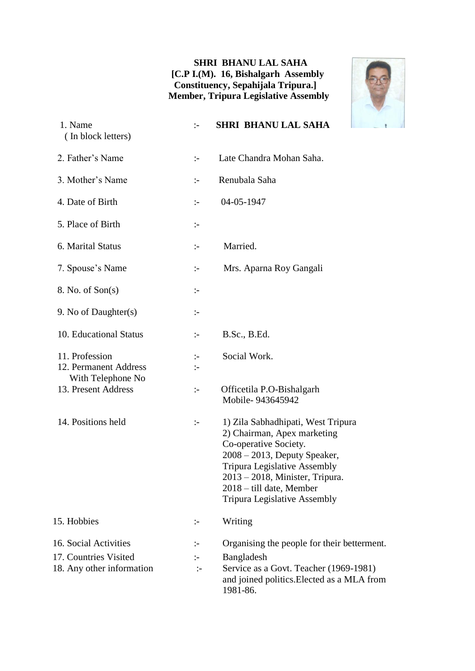#### **SHRI BHANU LAL SAHA [C.P I.(M). 16, Bishalgarh Assembly Constituency, Sepahijala Tripura.] Member, Tripura Legislative Assembly**



| 1. Name<br>(In block letters)                                                       | $\mathbb{I}$                                     | <b>SHRI BHANU LAL SAHA</b>                                                                                                                                                                                                                                                    |
|-------------------------------------------------------------------------------------|--------------------------------------------------|-------------------------------------------------------------------------------------------------------------------------------------------------------------------------------------------------------------------------------------------------------------------------------|
| 2. Father's Name                                                                    | $\mathbf{L}$                                     | Late Chandra Mohan Saha.                                                                                                                                                                                                                                                      |
| 3. Mother's Name                                                                    | $:-$                                             | Renubala Saha                                                                                                                                                                                                                                                                 |
| 4. Date of Birth                                                                    | $:-$                                             | 04-05-1947                                                                                                                                                                                                                                                                    |
| 5. Place of Birth                                                                   | $\vdots$                                         |                                                                                                                                                                                                                                                                               |
| 6. Marital Status                                                                   | $\mathbb{I}^-$                                   | Married.                                                                                                                                                                                                                                                                      |
| 7. Spouse's Name                                                                    | $:-$                                             | Mrs. Aparna Roy Gangali                                                                                                                                                                                                                                                       |
| 8. No. of Son(s)                                                                    | $:-$                                             |                                                                                                                                                                                                                                                                               |
| 9. No of Daughter(s)                                                                | $:-$                                             |                                                                                                                                                                                                                                                                               |
| 10. Educational Status                                                              | $\div$                                           | B.Sc., B.Ed.                                                                                                                                                                                                                                                                  |
| 11. Profession<br>12. Permanent Address<br>With Telephone No<br>13. Present Address | $\div$<br>$\mathbf{L}$<br>$\ddot{\phantom{1}}\,$ | Social Work.<br>Officetila P.O-Bishalgarh<br>Mobile-943645942                                                                                                                                                                                                                 |
| 14. Positions held                                                                  | $:-$                                             | 1) Zila Sabhadhipati, West Tripura<br>2) Chairman, Apex marketing<br>Co-operative Society.<br>$2008 - 2013$ , Deputy Speaker,<br><b>Tripura Legislative Assembly</b><br>$2013 - 2018$ , Minister, Tripura.<br>2018 - till date, Member<br><b>Tripura Legislative Assembly</b> |
| 15. Hobbies                                                                         | $\mathrel{\mathop:}=$                            | Writing                                                                                                                                                                                                                                                                       |
| 16. Social Activities<br>17. Countries Visited<br>18. Any other information         | :-<br>:-<br>$\mathbb{I}$                         | Organising the people for their betterment.<br>Bangladesh<br>Service as a Govt. Teacher (1969-1981)<br>and joined politics. Elected as a MLA from<br>1981-86.                                                                                                                 |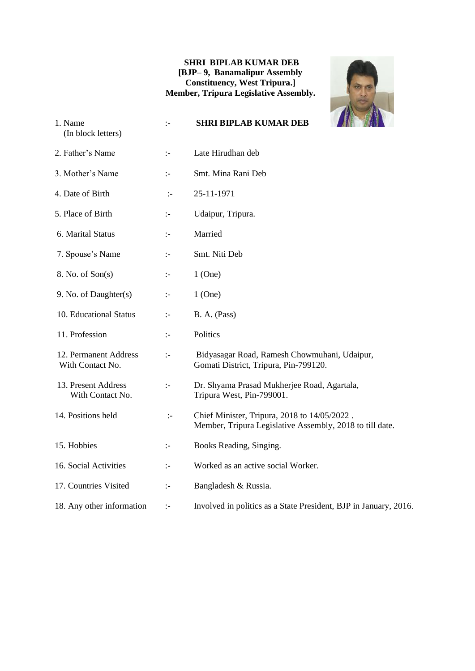#### **SHRI BIPLAB KUMAR DEB [BJP– 9, Banamalipur Assembly Constituency, West Tripura.] Member, Tripura Legislative Assembly.**



| 1. Name<br>(In block letters)             | $\mathbb{I}$         | <b>SHRI BIPLAB KUMAR DEB</b>                                                                             |
|-------------------------------------------|----------------------|----------------------------------------------------------------------------------------------------------|
| 2. Father's Name                          | $\mathbb{I}^{\perp}$ | Late Hirudhan deb                                                                                        |
| 3. Mother's Name                          | $\div$               | Smt. Mina Rani Deb                                                                                       |
| 4. Date of Birth                          | $\mathbb{I}^-$       | 25-11-1971                                                                                               |
| 5. Place of Birth                         | $\mathbb{I}$         | Udaipur, Tripura.                                                                                        |
| 6. Marital Status                         | $\mathbb{I}$         | Married                                                                                                  |
| 7. Spouse's Name                          | $\mathbb{I}$         | Smt. Niti Deb                                                                                            |
| 8. No. of Son(s)                          | $\mathbb{I}^{\perp}$ | $1$ (One)                                                                                                |
| 9. No. of Daughter(s)                     | $\mathbb{I}$         | $1$ (One)                                                                                                |
| 10. Educational Status                    | $\mathbb{I}^{\perp}$ | B. A. (Pass)                                                                                             |
| 11. Profession                            | $\mathbb{I}$         | Politics                                                                                                 |
| 12. Permanent Address<br>With Contact No. | $\mathbb{I}$         | Bidyasagar Road, Ramesh Chowmuhani, Udaipur,<br>Gomati District, Tripura, Pin-799120.                    |
| 13. Present Address<br>With Contact No.   | $\mathbb{I}^{\perp}$ | Dr. Shyama Prasad Mukherjee Road, Agartala,<br>Tripura West, Pin-799001.                                 |
| 14. Positions held                        | $\mathbb{I}$         | Chief Minister, Tripura, 2018 to 14/05/2022.<br>Member, Tripura Legislative Assembly, 2018 to till date. |
| 15. Hobbies                               | $\mathbb{I}$         | Books Reading, Singing.                                                                                  |
| 16. Social Activities                     | ÷                    | Worked as an active social Worker.                                                                       |
| 17. Countries Visited                     | $\mathbb{I}$         | Bangladesh & Russia.                                                                                     |
| 18. Any other information                 | $\mathbb{I}$         | Involved in politics as a State President, BJP in January, 2016.                                         |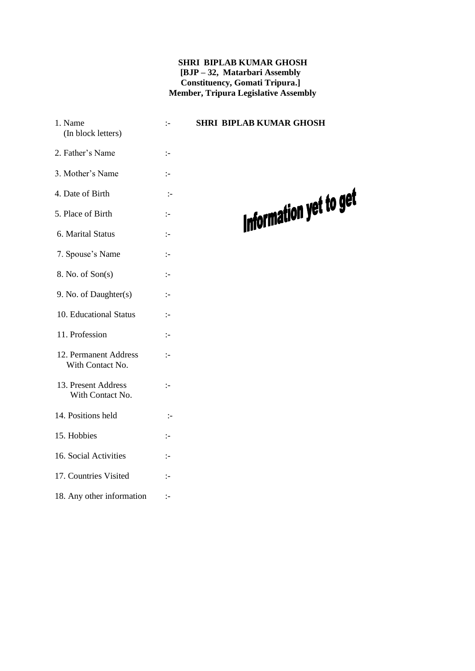#### **SHRI BIPLAB KUMAR GHOSH [BJP – 32, Matarbari Assembly Constituency, Gomati Tripura.] Member, Tripura Legislative Assembly**

 1. Name :- **SHRI BIPLAB KUMAR GHOSH** (In block letters) 2. Father's Name :- 3. Mother's Name :- 4. Date of Birth :- 5. Place of Birth :- 6. Marital Status :- 7. Spouse's Name :- 8. No. of Son(s) :- 9. No. of Daughter(s) :- 10. Educational Status :- 11. Profession :- 12. Permanent Address :- With Contact No. 13. Present Address :- With Contact No. 14. Positions held :- 15. Hobbies :- 16. Social Activities :- 17. Countries Visited :- 18. Any other information :-

## Information yet to get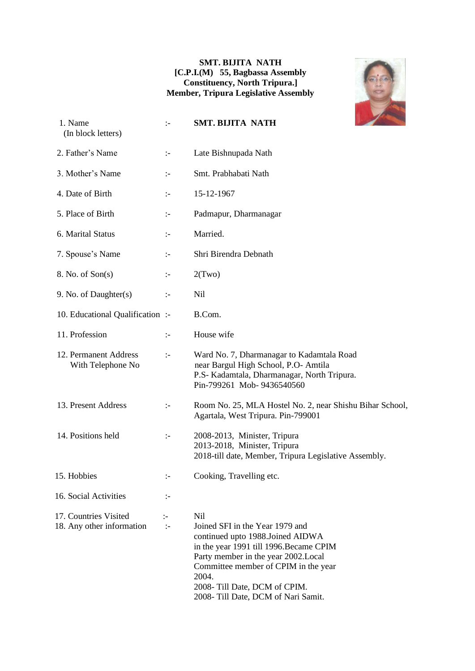#### **SMT. BIJITA NATH [C.P.I.(M) 55, Bagbassa Assembly Constituency, North Tripura.] Member, Tripura Legislative Assembly**



| 1. Name<br>(In block letters)                      | $\mathbf{L}$           | <b>SMT. BIJITA NATH</b>                                                                                                                                                                                                                                                                |
|----------------------------------------------------|------------------------|----------------------------------------------------------------------------------------------------------------------------------------------------------------------------------------------------------------------------------------------------------------------------------------|
| 2. Father's Name                                   | ÷                      | Late Bishnupada Nath                                                                                                                                                                                                                                                                   |
| 3. Mother's Name                                   | $\mathbb{I}^{\perp}$   | Smt. Prabhabati Nath                                                                                                                                                                                                                                                                   |
| 4. Date of Birth                                   | $\mathbb{I}^-$         | 15-12-1967                                                                                                                                                                                                                                                                             |
| 5. Place of Birth                                  | $\mathbb{I}^-$         | Padmapur, Dharmanagar                                                                                                                                                                                                                                                                  |
| 6. Marital Status                                  | $\mathbb{I}^-$         | Married.                                                                                                                                                                                                                                                                               |
| 7. Spouse's Name                                   | ÷                      | Shri Birendra Debnath                                                                                                                                                                                                                                                                  |
| 8. No. of Son(s)                                   | $\mathbb{I}^{\perp}$   | 2(Two)                                                                                                                                                                                                                                                                                 |
| 9. No. of Daughter(s)                              | $\mathbb{I}^-$         | Nil                                                                                                                                                                                                                                                                                    |
| 10. Educational Qualification :-                   |                        | B.Com.                                                                                                                                                                                                                                                                                 |
| 11. Profession                                     | $\mathbb{I}$           | House wife                                                                                                                                                                                                                                                                             |
| 12. Permanent Address<br>With Telephone No         | $\mathbb{I}^{\perp}$   | Ward No. 7, Dharmanagar to Kadamtala Road<br>near Bargul High School, P.O- Amtila<br>P.S- Kadamtala, Dharmanagar, North Tripura.<br>Pin-799261 Mob-9436540560                                                                                                                          |
| 13. Present Address                                | $\mathbb{I}^-$         | Room No. 25, MLA Hostel No. 2, near Shishu Bihar School,<br>Agartala, West Tripura. Pin-799001                                                                                                                                                                                         |
| 14. Positions held                                 | $\ddot{\phantom{1}}$   | 2008-2013, Minister, Tripura<br>2013-2018, Minister, Tripura<br>2018-till date, Member, Tripura Legislative Assembly.                                                                                                                                                                  |
| 15. Hobbies                                        | $\mathbf{I}$           | Cooking, Travelling etc.                                                                                                                                                                                                                                                               |
| 16. Social Activities                              | ÷                      |                                                                                                                                                                                                                                                                                        |
| 17. Countries Visited<br>18. Any other information | $\mathbf{I}$<br>$\div$ | Nil<br>Joined SFI in the Year 1979 and<br>continued upto 1988. Joined AIDWA<br>in the year 1991 till 1996. Became CPIM<br>Party member in the year 2002.Local<br>Committee member of CPIM in the year<br>2004.<br>2008- Till Date, DCM of CPIM.<br>2008- Till Date, DCM of Nari Samit. |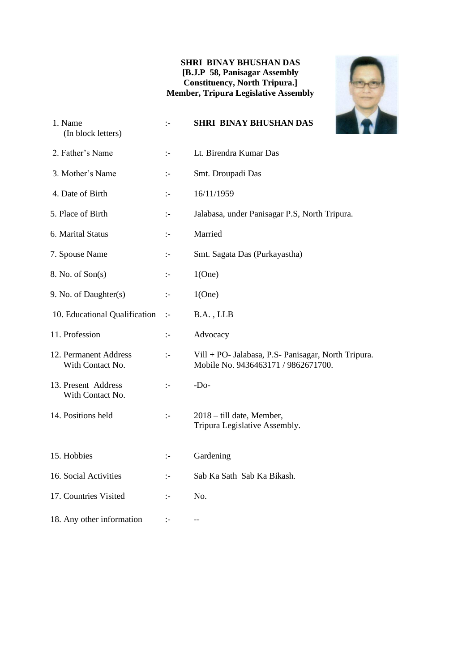#### **SHRI BINAY BHUSHAN DAS [B.J.P 58, Panisagar Assembly Constituency, North Tripura.] Member, Tripura Legislative Assembly**



| 1. Name<br>(In block letters)             | $\mathbf{I}$         | <b>SHRI BINAY BHUSHAN DAS</b>                                                              |
|-------------------------------------------|----------------------|--------------------------------------------------------------------------------------------|
| 2. Father's Name                          | $\mathbb{I}$         | Lt. Birendra Kumar Das                                                                     |
| 3. Mother's Name                          | ÷                    | Smt. Droupadi Das                                                                          |
| 4. Date of Birth                          | $\mathbf{I}$         | 16/11/1959                                                                                 |
| 5. Place of Birth                         | ÷                    | Jalabasa, under Panisagar P.S, North Tripura.                                              |
| 6. Marital Status                         | $\mathbb{I}^{\perp}$ | Married                                                                                    |
| 7. Spouse Name                            | $\mathbb{I}$         | Smt. Sagata Das (Purkayastha)                                                              |
| 8. No. of Son(s)                          | $\mathbb{I}$         | 1(One)                                                                                     |
| 9. No. of Daughter(s)                     | $\mathbb{I}$         | 1(One)                                                                                     |
| 10. Educational Qualification             | $\div$               | B.A., LLB                                                                                  |
| 11. Profession                            | ÷:                   | Advocacy                                                                                   |
| 12. Permanent Address<br>With Contact No. | $\mathbb{I}$         | Vill + PO- Jalabasa, P.S- Panisagar, North Tripura.<br>Mobile No. 9436463171 / 9862671700. |
| 13. Present Address<br>With Contact No.   | $\mathbb{I}^{\perp}$ | $-Do-$                                                                                     |
| 14. Positions held                        | $\mathbb{I}$         | 2018 – till date, Member,<br>Tripura Legislative Assembly.                                 |
| 15. Hobbies                               | $\mathbb{I}^-$       | Gardening                                                                                  |
| 16. Social Activities                     | $\mathbb{I}$         | Sab Ka Sath Sab Ka Bikash.                                                                 |
| 17. Countries Visited                     | $\mathbb{I}$         | No.                                                                                        |
| 18. Any other information                 | ÷,                   |                                                                                            |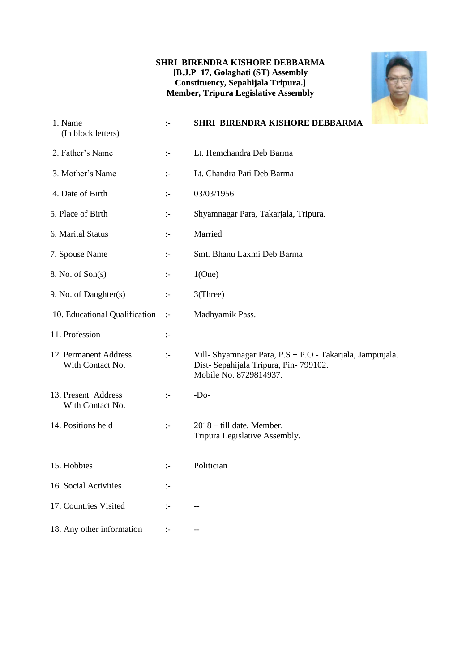#### **SHRI BIRENDRA KISHORE DEBBARMA [B.J.P 17, Golaghati (ST) Assembly Constituency, Sepahijala Tripura.] Member, Tripura Legislative Assembly**



| 1. Name<br>(In block letters)             | $\mathbb{I}$         | SHRI BIRENDRA KISHORE DEBBARMA                                                                                              |
|-------------------------------------------|----------------------|-----------------------------------------------------------------------------------------------------------------------------|
| 2. Father's Name                          | $\mathbb{I}^-$       | Lt. Hemchandra Deb Barma                                                                                                    |
| 3. Mother's Name                          | $\mathbb{I}$         | Lt. Chandra Pati Deb Barma                                                                                                  |
| 4. Date of Birth                          | $\mathbf{I}$         | 03/03/1956                                                                                                                  |
| 5. Place of Birth                         | $\mathbb{I}^-$       | Shyamnagar Para, Takarjala, Tripura.                                                                                        |
| 6. Marital Status                         | $\mathbb{I}^-$       | Married                                                                                                                     |
| 7. Spouse Name                            | ÷:                   | Smt. Bhanu Laxmi Deb Barma                                                                                                  |
| 8. No. of Son(s)                          | $\mathbb{I}^-$       | 1(One)                                                                                                                      |
| 9. No. of Daughter(s)                     | $\mathbf{I}$         | 3(Three)                                                                                                                    |
| 10. Educational Qualification             | $\mathbb{I}$         | Madhyamik Pass.                                                                                                             |
| 11. Profession                            | ÷                    |                                                                                                                             |
| 12. Permanent Address<br>With Contact No. | $\mathbb{I}^{\perp}$ | Vill- Shyamnagar Para, P.S + P.O - Takarjala, Jampuijala.<br>Dist-Sepahijala Tripura, Pin-799102.<br>Mobile No. 8729814937. |
| 13. Present Address<br>With Contact No.   | $\mathbb{I}$         | $-Do-$                                                                                                                      |
| 14. Positions held                        | $\mathbb{I}$         | 2018 – till date, Member,<br>Tripura Legislative Assembly.                                                                  |
| 15. Hobbies                               | $\mathbb{I}^{\perp}$ | Politician                                                                                                                  |
| 16. Social Activities                     | $\mathbb{I}^-$       |                                                                                                                             |
| 17. Countries Visited                     | $\mathbb{I}$         | $-$                                                                                                                         |
| 18. Any other information                 | $\mathbb{I}^-$       |                                                                                                                             |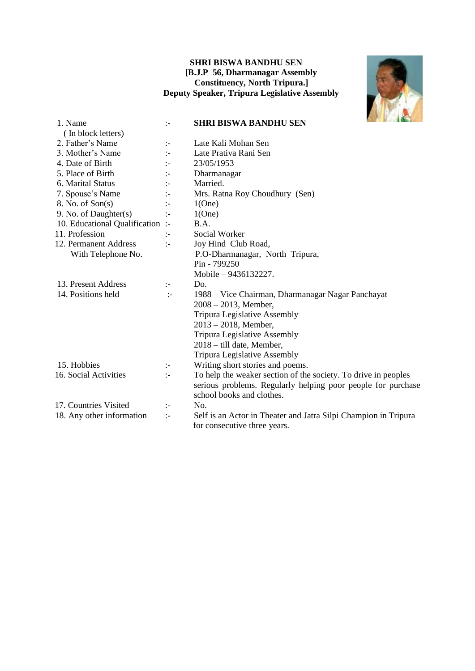#### **SHRI BISWA BANDHU SEN [B.J.P 56, Dharmanagar Assembly Constituency, North Tripura.] Deputy Speaker, Tripura Legislative Assembly**



| 1. Name                        | $\mathbb{I}$         | <b>March 1 Mars</b><br><b>SHRI BISWA BANDHU SEN</b>             |
|--------------------------------|----------------------|-----------------------------------------------------------------|
| (In block letters)             |                      |                                                                 |
| 2. Father's Name               | $\mathbb{I}^{\perp}$ | Late Kali Mohan Sen                                             |
| 3. Mother's Name               | $\mathbf{L}$         | Late Prativa Rani Sen                                           |
| 4. Date of Birth               | $\mathbf{I}$         | 23/05/1953                                                      |
| 5. Place of Birth              | $\mathbf{I}$         | Dharmanagar                                                     |
| 6. Marital Status              | $\mathbf{I}$         | Married.                                                        |
| 7. Spouse's Name               | $\mathbb{I}$         | Mrs. Ratna Roy Choudhury (Sen)                                  |
| 8. No. of Son(s)               | $\mathbf{I}$         | 1(One)                                                          |
| 9. No. of Daughter(s)          | $\mathbf{I}$         | 1(One)                                                          |
| 10. Educational Qualification: |                      | B.A.                                                            |
| 11. Profession                 | $\mathbf{I}$         | Social Worker                                                   |
| 12. Permanent Address          | $\mathbb{I}$         | Joy Hind Club Road,                                             |
| With Telephone No.             |                      | P.O-Dharmanagar, North Tripura,                                 |
|                                |                      | Pin - 799250                                                    |
|                                |                      | Mobile – 9436132227.                                            |
| 13. Present Address            | $\mathbb{I}$         | Do.                                                             |
| 14. Positions held             | $\mathbb{I}^-$       | 1988 – Vice Chairman, Dharmanagar Nagar Panchayat               |
|                                |                      | $2008 - 2013$ , Member,                                         |
|                                |                      | Tripura Legislative Assembly                                    |
|                                |                      | $2013 - 2018$ , Member,                                         |
|                                |                      | Tripura Legislative Assembly                                    |
|                                |                      | 2018 – till date, Member,                                       |
|                                |                      | <b>Tripura Legislative Assembly</b>                             |
| 15. Hobbies                    | $\mathbb{I}^{\perp}$ | Writing short stories and poems.                                |
| 16. Social Activities          | $\mathbf{I}$         | To help the weaker section of the society. To drive in peoples  |
|                                |                      | serious problems. Regularly helping poor people for purchase    |
|                                |                      | school books and clothes.                                       |
| 17. Countries Visited          | ÷                    | No.                                                             |
| 18. Any other information      | $\mathbb{I}$         | Self is an Actor in Theater and Jatra Silpi Champion in Tripura |
|                                |                      | for consecutive three years.                                    |
|                                |                      |                                                                 |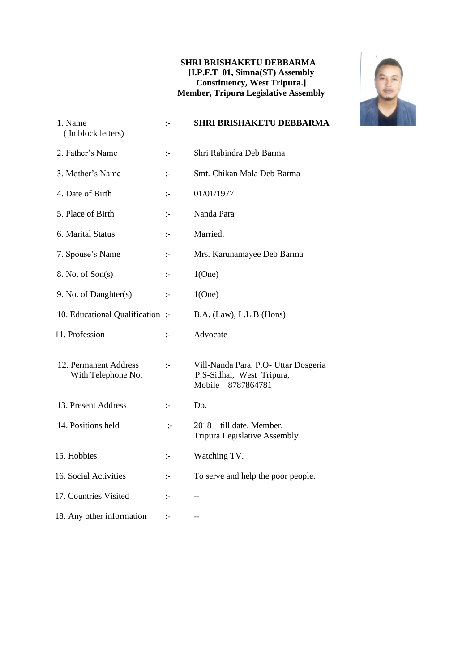#### **SHRI BRISHAKETU DEBBARMA [I.P.F.T 01, Simna(ST) Assembly Constituency, West Tripura.] Member, Tripura Legislative Assembly**



| 1. Name<br>(In block letters)               | $\mathbb{I}$         | <b>SHRI BRISHAKETU DEBBARMA</b>                                                          |
|---------------------------------------------|----------------------|------------------------------------------------------------------------------------------|
| 2. Father's Name                            | ÷                    | Shri Rabindra Deb Barma                                                                  |
| 3. Mother's Name                            | ÷.                   | Smt. Chikan Mala Deb Barma                                                               |
| 4. Date of Birth                            | $\mathbf{I}$         | 01/01/1977                                                                               |
| 5. Place of Birth                           | $\mathbf{I}$         | Nanda Para                                                                               |
| 6. Marital Status                           | $\mathbf{I}$         | Married.                                                                                 |
| 7. Spouse's Name                            | $\mathbb{I}^{\perp}$ | Mrs. Karunamayee Deb Barma                                                               |
| 8. No. of Son(s)                            | $\mathbb{I}^{\perp}$ | 1(One)                                                                                   |
| 9. No. of Daughter(s)                       | $\mathbb{I}$         | 1(One)                                                                                   |
| 10. Educational Qualification :-            |                      | B.A. (Law), L.L.B (Hons)                                                                 |
| 11. Profession                              | ÷:                   | Advocate                                                                                 |
| 12. Permanent Address<br>With Telephone No. | $\mathcal{L}$        | Vill-Nanda Para, P.O- Uttar Dosgeria<br>P.S-Sidhai, West Tripura,<br>Mobile - 8787864781 |
| 13. Present Address                         | $\mathbb{I}^{\perp}$ | Do.                                                                                      |
| 14. Positions held                          | $\mathbb{I}$         | 2018 – till date, Member,<br>Tripura Legislative Assembly                                |
| 15. Hobbies                                 | $\mathbb{I}^{\perp}$ | Watching TV.                                                                             |
| 16. Social Activities                       | $\mathbb{I}^{\perp}$ | To serve and help the poor people.                                                       |
| 17. Countries Visited                       | ÷                    | --                                                                                       |
| 18. Any other information                   | $\mathbf{I}$         | $-$                                                                                      |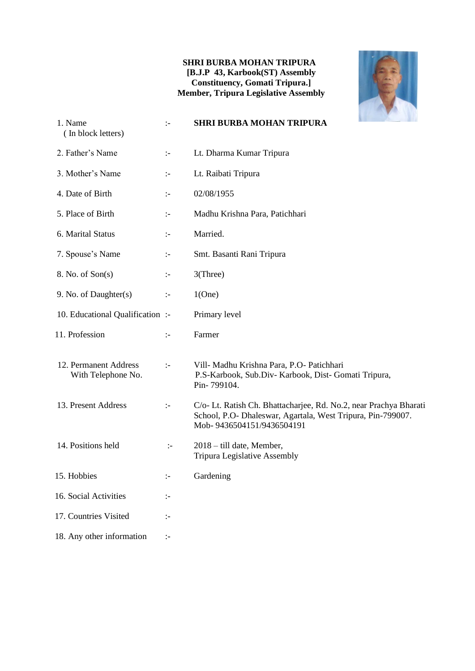#### **SHRI BURBA MOHAN TRIPURA [B.J.P 43, Karbook(ST) Assembly Constituency, Gomati Tripura.] Member, Tripura Legislative Assembly**



| 1. Name<br>(In block letters)               | $\div$               | <b>SHRI BURBA MOHAN TRIPURA</b>                                                                                                                               |
|---------------------------------------------|----------------------|---------------------------------------------------------------------------------------------------------------------------------------------------------------|
| 2. Father's Name                            | $\mathbb{I}^{\perp}$ | Lt. Dharma Kumar Tripura                                                                                                                                      |
| 3. Mother's Name                            | $\div$               | Lt. Raibati Tripura                                                                                                                                           |
| 4. Date of Birth                            | $\mathbb{I}$         | 02/08/1955                                                                                                                                                    |
| 5. Place of Birth                           | $\mathbb{I}^{\perp}$ | Madhu Krishna Para, Patichhari                                                                                                                                |
| 6. Marital Status                           | $\div$               | Married.                                                                                                                                                      |
| 7. Spouse's Name                            | $\mathbb{I}^{\perp}$ | Smt. Basanti Rani Tripura                                                                                                                                     |
| 8. No. of Son(s)                            | $\div$               | 3(Three)                                                                                                                                                      |
| 9. No. of Daughter(s)                       | $\mathbb{I}^{\perp}$ | 1(One)                                                                                                                                                        |
| 10. Educational Qualification :-            |                      | Primary level                                                                                                                                                 |
| 11. Profession                              | $\mathbb{I}^{\perp}$ | Farmer                                                                                                                                                        |
| 12. Permanent Address<br>With Telephone No. | $\div$               | Vill- Madhu Krishna Para, P.O- Patichhari<br>P.S-Karbook, Sub.Div-Karbook, Dist-Gomati Tripura,<br>Pin-799104.                                                |
| 13. Present Address                         | $\div$               | C/o- Lt. Ratish Ch. Bhattacharjee, Rd. No.2, near Prachya Bharati<br>School, P.O- Dhaleswar, Agartala, West Tripura, Pin-799007.<br>Mob-9436504151/9436504191 |
| 14. Positions held                          | $\mathbb{I}^{\perp}$ | 2018 – till date, Member,<br>Tripura Legislative Assembly                                                                                                     |
| 15. Hobbies                                 | $\mathbb{R}^n$       | Gardening                                                                                                                                                     |
| 16. Social Activities                       | $\div$               |                                                                                                                                                               |
| 17. Countries Visited                       | $\mathbb{I}^-$       |                                                                                                                                                               |
| 18. Any other information                   | $\div$               |                                                                                                                                                               |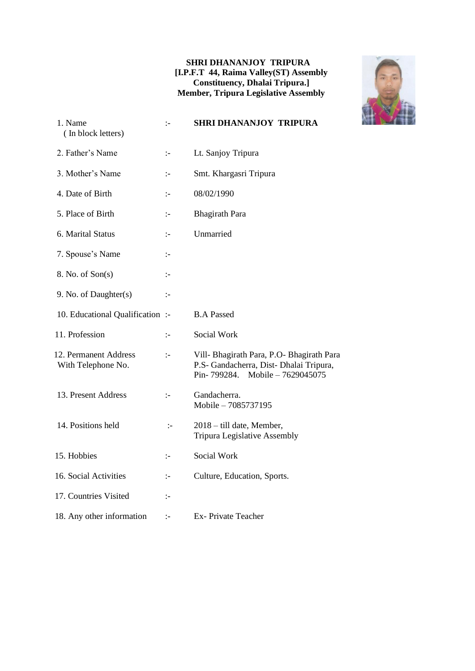#### **SHRI DHANANJOY TRIPURA [I.P.F.T 44, Raima Valley(ST) Assembly Constituency, Dhalai Tripura.] Member, Tripura Legislative Assembly**



| 1. Name<br>(In block letters)               | $\mathbf{I}$   | <b>SHRI DHANANJOY TRIPURA</b>                                                                                              |
|---------------------------------------------|----------------|----------------------------------------------------------------------------------------------------------------------------|
| 2. Father's Name                            | $\mathbb{I}^-$ | Lt. Sanjoy Tripura                                                                                                         |
| 3. Mother's Name                            | $\mathbb{I}$   | Smt. Khargasri Tripura                                                                                                     |
| 4. Date of Birth                            | $\mathbb{I}$   | 08/02/1990                                                                                                                 |
| 5. Place of Birth                           | $\mathbb{I}$   | <b>Bhagirath Para</b>                                                                                                      |
| 6. Marital Status                           | $\mathbb{I}$   | Unmarried                                                                                                                  |
| 7. Spouse's Name                            | $\mathbf{I}$   |                                                                                                                            |
| 8. No. of Son(s)                            | $\mathbb{I}^-$ |                                                                                                                            |
| 9. No. of Daughter(s)                       | $\mathbb{I}^-$ |                                                                                                                            |
| 10. Educational Qualification :-            |                | <b>B.A Passed</b>                                                                                                          |
| 11. Profession                              | $\mathbb{I}$   | Social Work                                                                                                                |
| 12. Permanent Address<br>With Telephone No. | $\mathbb{I}$   | Vill- Bhagirath Para, P.O- Bhagirath Para<br>P.S- Gandacherra, Dist- Dhalai Tripura,<br>Pin-799284.<br>Mobile - 7629045075 |
| 13. Present Address                         | $\mathbb{I}$   | Gandacherra.<br>Mobile - 7085737195                                                                                        |
| 14. Positions held                          | $\mathbf{L}$   | 2018 – till date, Member,<br>Tripura Legislative Assembly                                                                  |
| 15. Hobbies                                 | $\mathbb{I}^-$ | Social Work                                                                                                                |
| 16. Social Activities                       | $\mathbb{I}^-$ | Culture, Education, Sports.                                                                                                |
| 17. Countries Visited                       | $\mathbb{I}$   |                                                                                                                            |
| 18. Any other information                   | $\mathbb{I}^-$ | <b>Ex-Private Teacher</b>                                                                                                  |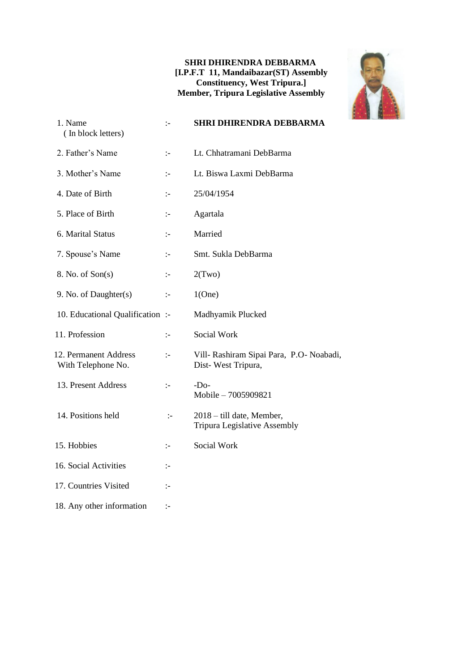#### **SHRI DHIRENDRA DEBBARMA [I.P.F.T 11, Mandaibazar(ST) Assembly Constituency, West Tripura.] Member, Tripura Legislative Assembly**



| 1. Name<br>(In block letters)               | $\mathbf{I}$         | <b>SHRI DHIRENDRA DEBBARMA</b>                                 |
|---------------------------------------------|----------------------|----------------------------------------------------------------|
| 2. Father's Name                            | $\mathbb{I}$         | Lt. Chhatramani DebBarma                                       |
| 3. Mother's Name                            | $\mathbf{I}$         | Lt. Biswa Laxmi DebBarma                                       |
| 4. Date of Birth                            | $\mathbf{I}$         | 25/04/1954                                                     |
| 5. Place of Birth                           | $\mathbf{I}$         | Agartala                                                       |
| 6. Marital Status                           | $\mathbb{I}$         | Married                                                        |
| 7. Spouse's Name                            | $\mathbf{I}$         | Smt. Sukla DebBarma                                            |
| 8. No. of Son(s)                            | $\mathbf{I}$         | 2(Two)                                                         |
| 9. No. of Daughter(s)                       | $\mathbb{I}$         | 1(One)                                                         |
| 10. Educational Qualification:              |                      | Madhyamik Plucked                                              |
| 11. Profession                              | $\mathbf{I}$         | Social Work                                                    |
| 12. Permanent Address<br>With Telephone No. | $\mathbf{I}$         | Vill- Rashiram Sipai Para, P.O- Noabadi,<br>Dist-West Tripura, |
| 13. Present Address                         | $\mathbb{I}$         | $-DO$<br>Mobile - 7005909821                                   |
| 14. Positions held                          | $\mathbb{I}$         | 2018 – till date, Member,<br>Tripura Legislative Assembly      |
| 15. Hobbies                                 | $\mathbb{I}^{\perp}$ | Social Work                                                    |
| 16. Social Activities                       | $\mathbf{I}$         |                                                                |
| 17. Countries Visited                       | ÷                    |                                                                |
| 18. Any other information                   | :-                   |                                                                |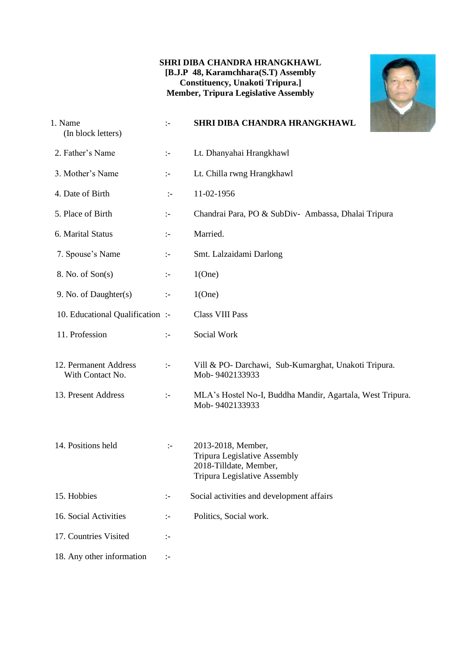#### **SHRI DIBA CHANDRA HRANGKHAWL [B.J.P 48, Karamchhara(S.T) Assembly Constituency, Unakoti Tripura.] Member, Tripura Legislative Assembly**



| 1. Name<br>(In block letters)             | $\mathbb{I}$         | SHRI DIBA CHANDRA HRANGKHAWL                                                                                        |
|-------------------------------------------|----------------------|---------------------------------------------------------------------------------------------------------------------|
| 2. Father's Name                          | $\mathbb{I}^{\perp}$ | Lt. Dhanyahai Hrangkhawl                                                                                            |
| 3. Mother's Name                          | $\div$               | Lt. Chilla rwng Hrangkhawl                                                                                          |
| 4. Date of Birth                          | $\mathbf{L}$         | 11-02-1956                                                                                                          |
| 5. Place of Birth                         | $\div$               | Chandrai Para, PO & SubDiv- Ambassa, Dhalai Tripura                                                                 |
| 6. Marital Status                         | $\mathbb{I}^-$       | Married.                                                                                                            |
| 7. Spouse's Name                          | $\mathbb{I}^-$       | Smt. Lalzaidami Darlong                                                                                             |
| 8. No. of Son(s)                          | $\mathbb{I}^-$       | 1(One)                                                                                                              |
| 9. No. of Daughter(s)                     | $\mathbb{I}^{\perp}$ | 1(One)                                                                                                              |
| 10. Educational Qualification :-          |                      | <b>Class VIII Pass</b>                                                                                              |
| 11. Profession                            | $\div$               | Social Work                                                                                                         |
| 12. Permanent Address<br>With Contact No. | $\mathbb{I}^{\perp}$ | Vill & PO- Darchawi, Sub-Kumarghat, Unakoti Tripura.<br>Mob-9402133933                                              |
| 13. Present Address                       | $\mathbb{I}^-$       | MLA's Hostel No-I, Buddha Mandir, Agartala, West Tripura.<br>Mob-9402133933                                         |
| 14. Positions held                        | $\mathbf{I}$         | 2013-2018, Member,<br>Tripura Legislative Assembly<br>2018-Tilldate, Member,<br><b>Tripura Legislative Assembly</b> |
| 15. Hobbies                               | $\mathbb{I}^{\perp}$ | Social activities and development affairs                                                                           |
| 16. Social Activities                     | $\mathbb{I}^-$       | Politics, Social work.                                                                                              |
| 17. Countries Visited                     | $\mathbb{I}^{\perp}$ |                                                                                                                     |
| 18. Any other information                 | $\mathcal{L}$        |                                                                                                                     |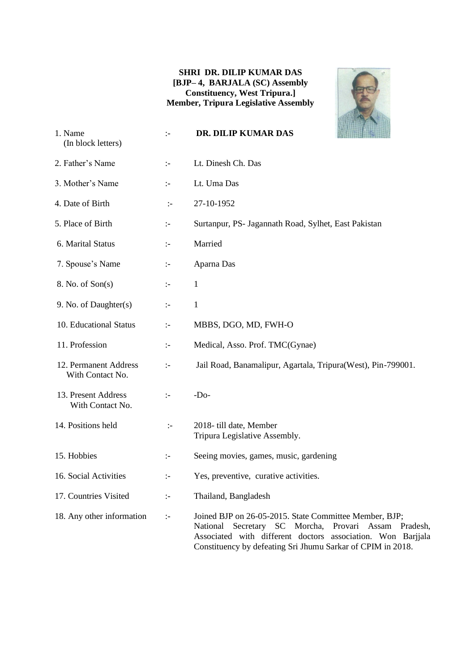#### **SHRI DR. DILIP KUMAR DAS [BJP– 4, BARJALA (SC) Assembly Constituency, West Tripura.] Member, Tripura Legislative Assembly**



| 1. Name<br>(In block letters)             | $\mathbb{I}$         | DR. DILIP KUMAR DAS                                                                                                                                                                                                                             |  |
|-------------------------------------------|----------------------|-------------------------------------------------------------------------------------------------------------------------------------------------------------------------------------------------------------------------------------------------|--|
| 2. Father's Name                          | $\mathbb{I}^-$       | Lt. Dinesh Ch. Das                                                                                                                                                                                                                              |  |
| 3. Mother's Name                          | $\mathbb{I}^-$       | Lt. Uma Das                                                                                                                                                                                                                                     |  |
| 4. Date of Birth                          | $\div$               | 27-10-1952                                                                                                                                                                                                                                      |  |
| 5. Place of Birth                         | $\div$               | Surtanpur, PS- Jagannath Road, Sylhet, East Pakistan                                                                                                                                                                                            |  |
| 6. Marital Status                         | $\mathbb{I}^-$       | Married                                                                                                                                                                                                                                         |  |
| 7. Spouse's Name                          | $\mathbb{I}^-$       | Aparna Das                                                                                                                                                                                                                                      |  |
| 8. No. of Son(s)                          | $\mathbb{I}$         | $\mathbf{1}$                                                                                                                                                                                                                                    |  |
| 9. No. of Daughter(s)                     | $\div$               | $\mathbf{1}$                                                                                                                                                                                                                                    |  |
| 10. Educational Status                    | $\mathbb{I}^-$       | MBBS, DGO, MD, FWH-O                                                                                                                                                                                                                            |  |
| 11. Profession                            | $\mathbb{I}^{\perp}$ | Medical, Asso. Prof. TMC(Gynae)                                                                                                                                                                                                                 |  |
| 12. Permanent Address<br>With Contact No. | $\mathbb{I}^{\perp}$ | Jail Road, Banamalipur, Agartala, Tripura(West), Pin-799001.                                                                                                                                                                                    |  |
| 13. Present Address<br>With Contact No.   | $\div$               | $-Do-$                                                                                                                                                                                                                                          |  |
| 14. Positions held                        | $\div$               | 2018- till date, Member<br>Tripura Legislative Assembly.                                                                                                                                                                                        |  |
| 15. Hobbies                               | ÷                    | Seeing movies, games, music, gardening                                                                                                                                                                                                          |  |
| 16. Social Activities                     | $\mathbb{I}^-$       | Yes, preventive, curative activities.                                                                                                                                                                                                           |  |
| 17. Countries Visited                     | $\mathbb{I}$         | Thailand, Bangladesh                                                                                                                                                                                                                            |  |
| 18. Any other information                 | $\mathbb{I}^-$       | Joined BJP on 26-05-2015. State Committee Member, BJP;<br>Secretary SC Morcha, Provari Assam Pradesh,<br>National<br>Associated with different doctors association. Won Barjjala<br>Constituency by defeating Sri Jhumu Sarkar of CPIM in 2018. |  |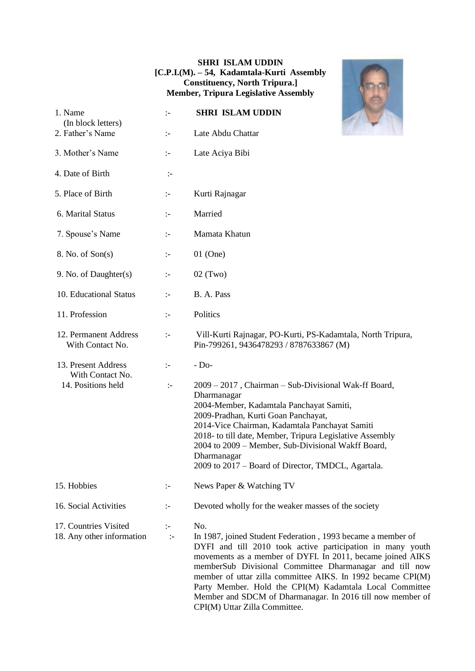#### **SHRI ISLAM UDDIN [C.P.I.(M). – 54, Kadamtala-Kurti Assembly Constituency, North Tripura.] Member, Tripura Legislative Assembly**

| 1. Name<br>(In block letters)                      | $\mathbb{I}^-$                 | <b>SHRI ISLAM UDDIN</b>                                                                                                                                                                                                                                                                                                                                                                                                                                                            |
|----------------------------------------------------|--------------------------------|------------------------------------------------------------------------------------------------------------------------------------------------------------------------------------------------------------------------------------------------------------------------------------------------------------------------------------------------------------------------------------------------------------------------------------------------------------------------------------|
| 2. Father's Name                                   | $\mathbb{I}$                   | Late Abdu Chattar                                                                                                                                                                                                                                                                                                                                                                                                                                                                  |
| 3. Mother's Name                                   | $\mathbb{I}$                   | Late Aciya Bibi                                                                                                                                                                                                                                                                                                                                                                                                                                                                    |
| 4. Date of Birth                                   | $\mathbb{I}^-$                 |                                                                                                                                                                                                                                                                                                                                                                                                                                                                                    |
| 5. Place of Birth                                  | $\mathbb{I}^-$                 | Kurti Rajnagar                                                                                                                                                                                                                                                                                                                                                                                                                                                                     |
| 6. Marital Status                                  | $\mathbb{I}$                   | Married                                                                                                                                                                                                                                                                                                                                                                                                                                                                            |
| 7. Spouse's Name                                   | $\mathbb{I}^{\perp}$           | Mamata Khatun                                                                                                                                                                                                                                                                                                                                                                                                                                                                      |
| 8. No. of Son(s)                                   | ÷                              | $01$ (One)                                                                                                                                                                                                                                                                                                                                                                                                                                                                         |
| 9. No. of Daughter(s)                              | $\mathbb{I}^{\perp}$           | $02$ (Two)                                                                                                                                                                                                                                                                                                                                                                                                                                                                         |
| 10. Educational Status                             | $\div$                         | B. A. Pass                                                                                                                                                                                                                                                                                                                                                                                                                                                                         |
| 11. Profession                                     | $\div$                         | Politics                                                                                                                                                                                                                                                                                                                                                                                                                                                                           |
| 12. Permanent Address<br>With Contact No.          | $\div$                         | Vill-Kurti Rajnagar, PO-Kurti, PS-Kadamtala, North Tripura,<br>Pin-799261, 9436478293 / 8787633867 (M)                                                                                                                                                                                                                                                                                                                                                                             |
| 13. Present Address<br>With Contact No.            | $\mathbb{I}$                   | $-Do-$                                                                                                                                                                                                                                                                                                                                                                                                                                                                             |
| 14. Positions held                                 | $\mathbf{I}$                   | 2009 - 2017, Chairman - Sub-Divisional Wak-ff Board,<br>Dharmanagar<br>2004-Member, Kadamtala Panchayat Samiti,<br>2009-Pradhan, Kurti Goan Panchayat,<br>2014-Vice Chairman, Kadamtala Panchayat Samiti<br>2018- to till date, Member, Tripura Legislative Assembly<br>2004 to 2009 – Member, Sub-Divisional Wakff Board,<br>Dharmanagar<br>2009 to 2017 – Board of Director, TMDCL, Agartala.                                                                                    |
| 15. Hobbies                                        | ÷                              | News Paper & Watching TV                                                                                                                                                                                                                                                                                                                                                                                                                                                           |
| 16. Social Activities                              | ÷.                             | Devoted wholly for the weaker masses of the society                                                                                                                                                                                                                                                                                                                                                                                                                                |
| 17. Countries Visited<br>18. Any other information | $\mathbb{I}^{\perp}$<br>$\div$ | No.<br>In 1987, joined Student Federation, 1993 became a member of<br>DYFI and till 2010 took active participation in many youth<br>movements as a member of DYFI. In 2011, became joined AIKS<br>memberSub Divisional Committee Dharmanagar and till now<br>member of uttar zilla committee AIKS. In 1992 became CPI(M)<br>Party Member. Hold the CPI(M) Kadamtala Local Committee<br>Member and SDCM of Dharmanagar. In 2016 till now member of<br>CPI(M) Uttar Zilla Committee. |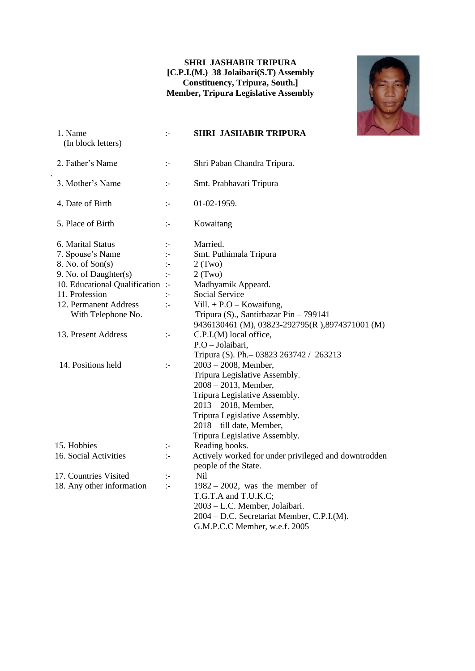#### **SHRI JASHABIR TRIPURA [C.P.I.(M.) 38 Jolaibari(S.T) Assembly Constituency, Tripura, South.] Member, Tripura Legislative Assembly**



| 1. Name<br>(In block letters)    | $\mathbb{I}$         | <b>SHRI JASHABIR TRIPURA</b>                                                 |
|----------------------------------|----------------------|------------------------------------------------------------------------------|
| 2. Father's Name                 | $\mathbb{I}^{\perp}$ | Shri Paban Chandra Tripura.                                                  |
| 3. Mother's Name                 | $\mathbb{I}$         | Smt. Prabhavati Tripura                                                      |
| 4. Date of Birth                 | $\mathbb{I}$         | 01-02-1959.                                                                  |
| 5. Place of Birth                | $\mathbb{I}$         | Kowaitang                                                                    |
| 6. Marital Status                | $\mathbf{I}$         | Married.                                                                     |
| 7. Spouse's Name                 | ÷:                   | Smt. Puthimala Tripura                                                       |
| 8. No. of Son(s)                 | $\mathbf{I}$         | $2$ (Two)                                                                    |
| 9. No. of Daughter(s)            | $\mathbb{I}^-$       | $2$ (Two)                                                                    |
| 10. Educational Qualification :- |                      | Madhyamik Appeard.                                                           |
| 11. Profession                   | $\mathbf{L}$         | Social Service                                                               |
| 12. Permanent Address            | $\mathbf{L}$         | Vill. + $P.O - Kowairing$ ,                                                  |
| With Telephone No.               |                      | Tripura (S)., Santirbazar Pin - 799141                                       |
|                                  |                      | 9436130461 (M), 03823-292795(R), 8974371001 (M)                              |
| 13. Present Address              | $\mathbf{I}$         | C.P.I.(M) local office,                                                      |
|                                  |                      | P.O - Jolaibari,                                                             |
|                                  |                      | Tripura (S). Ph. - 03823 263742 / 263213                                     |
| 14. Positions held               | $\mathbb{I}^{\perp}$ | $2003 - 2008$ , Member,                                                      |
|                                  |                      | Tripura Legislative Assembly.                                                |
|                                  |                      | $2008 - 2013$ , Member,                                                      |
|                                  |                      | Tripura Legislative Assembly.                                                |
|                                  |                      | $2013 - 2018$ , Member,                                                      |
|                                  |                      | Tripura Legislative Assembly.                                                |
|                                  |                      | 2018 – till date, Member,                                                    |
|                                  |                      | Tripura Legislative Assembly.                                                |
| 15. Hobbies                      | :-                   | Reading books.                                                               |
| 16. Social Activities            | $\mathbb{I}$         | Actively worked for under privileged and downtrodden<br>people of the State. |
| 17. Countries Visited            | $\mathbf{I}$         | Nil                                                                          |
| 18. Any other information        | $\mathbb{I}$         | $1982 - 2002$ , was the member of                                            |
|                                  |                      | T.G.T.A and T.U.K.C;                                                         |
|                                  |                      | 2003 - L.C. Member, Jolaibari.                                               |
|                                  |                      | 2004 - D.C. Secretariat Member, C.P.I.(M).                                   |
|                                  |                      | G.M.P.C.C Member, w.e.f. 2005                                                |
|                                  |                      |                                                                              |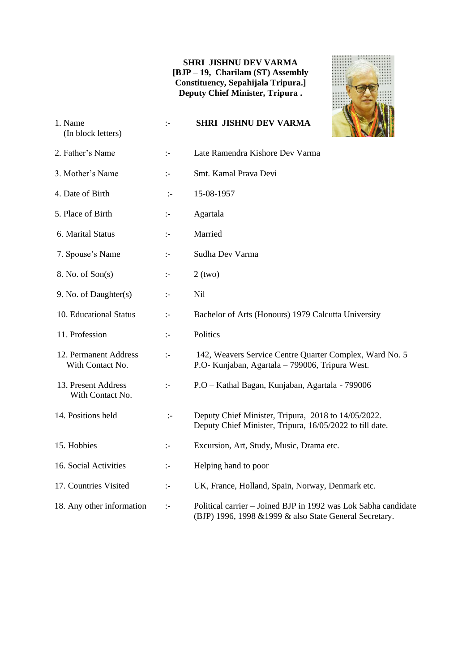#### **SHRI JISHNU DEV VARMA [BJP – 19, Charilam (ST) Assembly Constituency, Sepahijala Tripura.] Deputy Chief Minister, Tripura .**



| 1. Name<br>(In block letters)             | $\mathbf{I}$         | <b>SHRI JISHNU DEV VARMA</b>                                                                                              |
|-------------------------------------------|----------------------|---------------------------------------------------------------------------------------------------------------------------|
| 2. Father's Name                          | $\mathbb{I}$         | Late Ramendra Kishore Dev Varma                                                                                           |
| 3. Mother's Name                          | $\mathbb{I}^{\perp}$ | Smt. Kamal Prava Devi                                                                                                     |
| 4. Date of Birth                          | $\mathbb{I}^-$       | 15-08-1957                                                                                                                |
| 5. Place of Birth                         | :-                   | Agartala                                                                                                                  |
| 6. Marital Status                         | $\mathbf{I}$         | Married                                                                                                                   |
| 7. Spouse's Name                          | $\mathbb{I}^{\perp}$ | Sudha Dev Varma                                                                                                           |
| 8. No. of Son(s)                          | $\mathbf{I}$         | $2$ (two)                                                                                                                 |
| 9. No. of Daughter(s)                     | $\mathbb{I}$         | Nil                                                                                                                       |
| 10. Educational Status                    | $\mathbb{I}^{\perp}$ | Bachelor of Arts (Honours) 1979 Calcutta University                                                                       |
| 11. Profession                            | $\mathbb{I}$         | Politics                                                                                                                  |
| 12. Permanent Address<br>With Contact No. | $\div$               | 142, Weavers Service Centre Quarter Complex, Ward No. 5<br>P.O- Kunjaban, Agartala - 799006, Tripura West.                |
| 13. Present Address<br>With Contact No.   | $\mathbf{I}$         | P.O - Kathal Bagan, Kunjaban, Agartala - 799006                                                                           |
| 14. Positions held                        | $\mathbb{I}$         | Deputy Chief Minister, Tripura, 2018 to 14/05/2022.<br>Deputy Chief Minister, Tripura, 16/05/2022 to till date.           |
| 15. Hobbies                               | $\mathbb{I}^{\perp}$ | Excursion, Art, Study, Music, Drama etc.                                                                                  |
| 16. Social Activities                     | $\mathbb{I}$         | Helping hand to poor                                                                                                      |
| 17. Countries Visited                     | $\div$               | UK, France, Holland, Spain, Norway, Denmark etc.                                                                          |
| 18. Any other information                 | $\mathbb{I}$         | Political carrier – Joined BJP in 1992 was Lok Sabha candidate<br>(BJP) 1996, 1998 & 1999 & also State General Secretary. |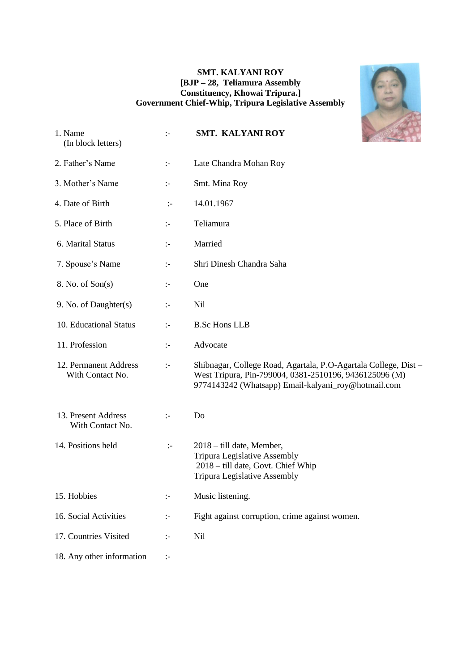#### **SMT. KALYANI ROY [BJP – 28, Teliamura Assembly Constituency, Khowai Tripura.] Government Chief-Whip, Tripura Legislative Assembly**



| 1. Name<br>(In block letters)             | $\mathbf{I}$         | <b>SMT. KALYANI ROY</b>                                                                                                                                                          |
|-------------------------------------------|----------------------|----------------------------------------------------------------------------------------------------------------------------------------------------------------------------------|
| 2. Father's Name                          | ÷.                   | Late Chandra Mohan Roy                                                                                                                                                           |
| 3. Mother's Name                          | ÷.                   | Smt. Mina Roy                                                                                                                                                                    |
| 4. Date of Birth                          | $\mathbf{L}$         | 14.01.1967                                                                                                                                                                       |
| 5. Place of Birth                         | $\mathbf{I}$         | Teliamura                                                                                                                                                                        |
| 6. Marital Status                         | $\mathbb{I}^{\perp}$ | Married                                                                                                                                                                          |
| 7. Spouse's Name                          | $\mathbb{I}^{\perp}$ | Shri Dinesh Chandra Saha                                                                                                                                                         |
| 8. No. of Son(s)                          | $\mathbb{I}$         | One                                                                                                                                                                              |
| 9. No. of Daughter(s)                     | $\mathbb{I}$         | Nil                                                                                                                                                                              |
| 10. Educational Status                    | $\div$               | <b>B.Sc Hons LLB</b>                                                                                                                                                             |
| 11. Profession                            | $\mathbb{I}^{\perp}$ | Advocate                                                                                                                                                                         |
| 12. Permanent Address<br>With Contact No. | $\mathbb{I}^{\perp}$ | Shibnagar, College Road, Agartala, P.O-Agartala College, Dist -<br>West Tripura, Pin-799004, 0381-2510196, 9436125096 (M)<br>9774143242 (Whatsapp) Email-kalyani_roy@hotmail.com |
| 13. Present Address<br>With Contact No.   | $\mathbb{I}$         | Do                                                                                                                                                                               |
| 14. Positions held                        | $\mathbb{I}^-$       | 2018 – till date, Member,<br><b>Tripura Legislative Assembly</b><br>2018 - till date, Govt. Chief Whip<br>Tripura Legislative Assembly                                           |
| 15. Hobbies                               | :-                   | Music listening.                                                                                                                                                                 |
| 16. Social Activities                     | $\ddot{\phantom{1}}$ | Fight against corruption, crime against women.                                                                                                                                   |
| 17. Countries Visited                     | $\mathbb{I}^{\perp}$ | Nil                                                                                                                                                                              |
| 18. Any other information                 | $\mathbb{H}$         |                                                                                                                                                                                  |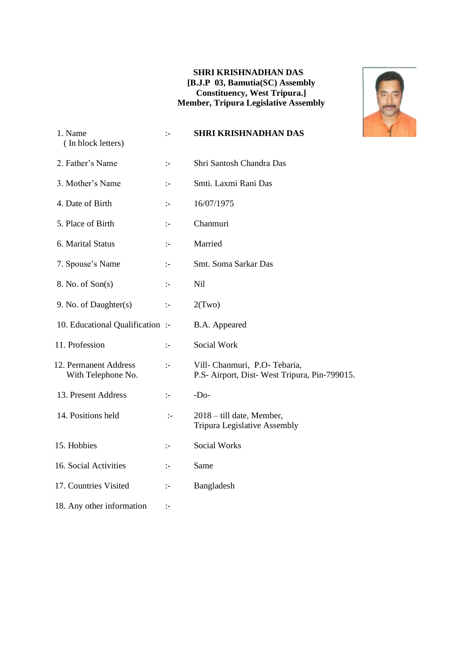#### **SHRI KRISHNADHAN DAS [B.J.P 03, Bamutia(SC) Assembly Constituency, West Tripura.] Member, Tripura Legislative Assembly**



| 1. Name<br>(In block letters)               | $\mathbf{I}$         | <b>SHRI KRISHNADHAN DAS</b>                                                   |
|---------------------------------------------|----------------------|-------------------------------------------------------------------------------|
| 2. Father's Name                            | $\mathbb{I}$         | Shri Santosh Chandra Das                                                      |
| 3. Mother's Name                            | $\mathbf{I}$         | Smti. Laxmi Rani Das                                                          |
| 4. Date of Birth                            | $\mathbf{I}$         | 16/07/1975                                                                    |
| 5. Place of Birth                           | $\div$               | Chanmuri                                                                      |
| 6. Marital Status                           | $\mathbb{I}^-$       | Married                                                                       |
| 7. Spouse's Name                            | $\mathbb{I}^-$       | Smt. Soma Sarkar Das                                                          |
| 8. No. of Son(s)                            | $\mathbb{I}^{\perp}$ | <b>Nil</b>                                                                    |
| 9. No. of Daughter(s)                       | $\mathbb{I}^-$       | 2(Two)                                                                        |
| 10. Educational Qualification :-            |                      | B.A. Appeared                                                                 |
| 11. Profession                              | $\mathbb{I}^{\perp}$ | Social Work                                                                   |
| 12. Permanent Address<br>With Telephone No. | $\mathbb{I}$         | Vill- Chanmuri, P.O- Tebaria,<br>P.S- Airport, Dist-West Tripura, Pin-799015. |
| 13. Present Address                         | $\mathbb{I}$         | $-Do-$                                                                        |
| 14. Positions held                          | $\mathbf{I}$         | 2018 – till date, Member,<br>Tripura Legislative Assembly                     |
| 15. Hobbies                                 | $\mathbb{I}^-$       | <b>Social Works</b>                                                           |
| 16. Social Activities                       | $\mathbb{I}^-$       | Same                                                                          |
| 17. Countries Visited                       | $\mathbb{I}^-$       | Bangladesh                                                                    |
| 18. Any other information                   | ÷                    |                                                                               |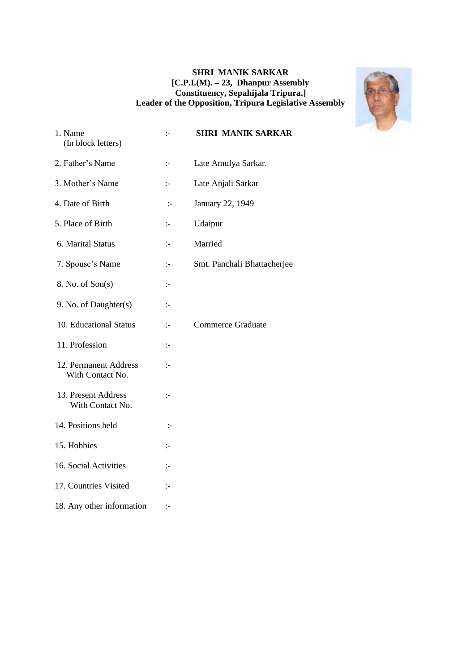#### **SHRI MANIK SARKAR [C.P.I.(M). – 23, Dhanpur Assembly Constituency, Sepahijala Tripura.] Leader of the Opposition, Tripura Legislative Assembly**



| 1. Name<br>(In block letters)             | $\mathbb{I}$   | <b>SHRI MANIK SARKAR</b>    |
|-------------------------------------------|----------------|-----------------------------|
| 2. Father's Name                          | $\mathbb{I}^-$ | Late Amulya Sarkar.         |
| 3. Mother's Name                          | $\mathbb{I}$   | Late Anjali Sarkar          |
| 4. Date of Birth                          | $\mathbb{I}^-$ | January 22, 1949            |
| 5. Place of Birth                         | $\mathbb{I}$   | Udaipur                     |
| 6. Marital Status                         | $\mathbb{I}$   | Married                     |
| 7. Spouse's Name                          | $\mathbb{I}^-$ | Smt. Panchali Bhattacherjee |
| 8. No. of Son(s)                          | $\mathbb{I}$   |                             |
| 9. No. of Daughter(s)                     | $\mathbb{I}^-$ |                             |
| 10. Educational Status                    | $\mathbb{I}$   | <b>Commerce Graduate</b>    |
| 11. Profession                            | $\mathbb{I}$   |                             |
| 12. Permanent Address<br>With Contact No. | $\mathbb{I}$   |                             |
| 13. Present Address<br>With Contact No.   | $\mathbb{I}$   |                             |
| 14. Positions held                        | $\mathbb{I}^-$ |                             |
| 15. Hobbies                               | $\mathbb{I}$   |                             |
| 16. Social Activities                     | $\mathbb{I}$   |                             |
| 17. Countries Visited                     | $\mathbf{I}$   |                             |
| 18. Any other information                 | $\mathbb{I}^-$ |                             |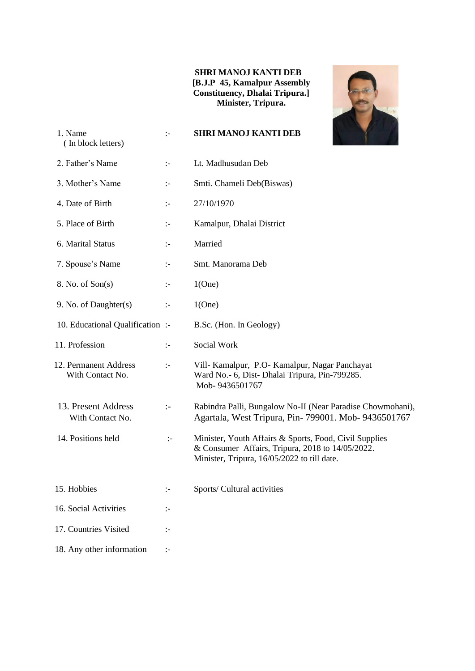#### **SHRI MANOJ KANTI DEB [B.J.P 45, Kamalpur Assembly Constituency, Dhalai Tripura.] Minister, Tripura.**



| 1. Name<br>(In block letters)             | $\mathbf{I}$         | <b>SHRI MANOJ KANTI DEB</b>                                                                                                                               |
|-------------------------------------------|----------------------|-----------------------------------------------------------------------------------------------------------------------------------------------------------|
| 2. Father's Name                          | $\mathbb{I}^{\perp}$ | Lt. Madhusudan Deb                                                                                                                                        |
| 3. Mother's Name                          | ÷                    | Smti. Chameli Deb(Biswas)                                                                                                                                 |
| 4. Date of Birth                          | $\mathbb{I}^{\perp}$ | 27/10/1970                                                                                                                                                |
| 5. Place of Birth                         | $\mathbb{I}^{\perp}$ | Kamalpur, Dhalai District                                                                                                                                 |
| 6. Marital Status                         | $\mathbb{I}^{\perp}$ | Married                                                                                                                                                   |
| 7. Spouse's Name                          | $\mathbb{I}^{\perp}$ | Smt. Manorama Deb                                                                                                                                         |
| 8. No. of Son(s)                          | ÷                    | 1(One)                                                                                                                                                    |
| 9. No. of Daughter(s)                     | $\mathbf{I}$         | 1(One)                                                                                                                                                    |
| 10. Educational Qualification :-          |                      | B.Sc. (Hon. In Geology)                                                                                                                                   |
| 11. Profession                            | $\mathbb{I}^{\perp}$ | Social Work                                                                                                                                               |
| 12. Permanent Address<br>With Contact No. | $\mathbb{I}^{\perp}$ | Vill- Kamalpur, P.O- Kamalpur, Nagar Panchayat<br>Ward No.- 6, Dist- Dhalai Tripura, Pin-799285.<br>Mob-9436501767                                        |
| 13. Present Address<br>With Contact No.   | $:-$                 | Rabindra Palli, Bungalow No-II (Near Paradise Chowmohani),<br>Agartala, West Tripura, Pin-799001. Mob-9436501767                                          |
| 14. Positions held                        | $\mathbb{I}^-$       | Minister, Youth Affairs & Sports, Food, Civil Supplies<br>& Consumer Affairs, Tripura, 2018 to 14/05/2022.<br>Minister, Tripura, 16/05/2022 to till date. |
| 15. Hobbies                               | :-                   | Sports/ Cultural activities                                                                                                                               |
| 16. Social Activities                     | ÷.                   |                                                                                                                                                           |
| 17. Countries Visited                     | $:-$                 |                                                                                                                                                           |
| 18. Any other information                 | $\mathbb{I}^{\perp}$ |                                                                                                                                                           |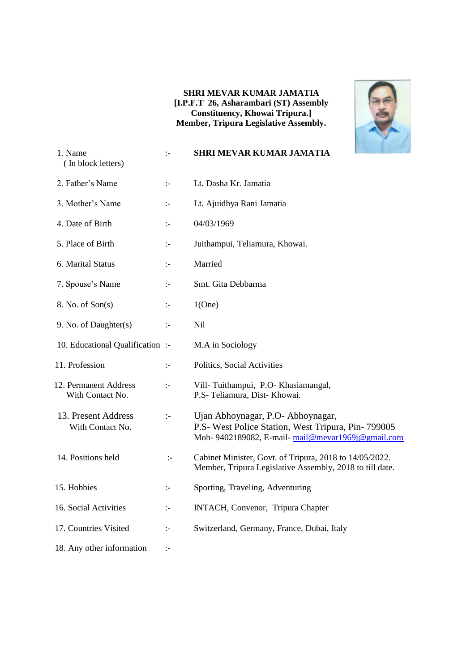#### **SHRI MEVAR KUMAR JAMATIA [I.P.F.T 26, Asharambari (ST) Assembly Constituency, Khowai Tripura.] Member, Tripura Legislative Assembly.**



| 1. Name<br>(In block letters)             | $\mathbb{I}$   | <b>SHRI MEVAR KUMAR JAMATIA</b>                                                                                                              |
|-------------------------------------------|----------------|----------------------------------------------------------------------------------------------------------------------------------------------|
| 2. Father's Name                          | $\mathbb{I}$   | Lt. Dasha Kr. Jamatia                                                                                                                        |
| 3. Mother's Name                          | $\mathbb{I}^-$ | Lt. Ajuidhya Rani Jamatia                                                                                                                    |
| 4. Date of Birth                          | $\mathbb{I}$   | 04/03/1969                                                                                                                                   |
| 5. Place of Birth                         | $\mathbb{I}$   | Juithampui, Teliamura, Khowai.                                                                                                               |
| 6. Marital Status                         | $\mathbb{I}$   | Married                                                                                                                                      |
| 7. Spouse's Name                          | $\mathbb{I}^-$ | Smt. Gita Debbarma                                                                                                                           |
| 8. No. of Son(s)                          | $\mathbb{I}$   | 1(One)                                                                                                                                       |
| 9. No. of Daughter(s)                     | $\mathbb{I}$   | Nil                                                                                                                                          |
| 10. Educational Qualification :-          |                | M.A in Sociology                                                                                                                             |
| 11. Profession                            | $\mathbb{I}^-$ | Politics, Social Activities                                                                                                                  |
| 12. Permanent Address<br>With Contact No. | $\mathbb{I}$   | Vill-Tuithampui, P.O-Khasiamangal,<br>P.S- Teliamura, Dist- Khowai.                                                                          |
| 13. Present Address<br>With Contact No.   | $\mathbf{L}$   | Ujan Abhoynagar, P.O- Abhoynagar,<br>P.S- West Police Station, West Tripura, Pin- 799005<br>Mob-9402189082, E-mail-mail@mevar1969j@gmail.com |
| 14. Positions held                        | $\mathbb{I}$   | Cabinet Minister, Govt. of Tripura, 2018 to 14/05/2022.<br>Member, Tripura Legislative Assembly, 2018 to till date.                          |
| 15. Hobbies                               | $\mathbb{I}^-$ | Sporting, Traveling, Adventuring                                                                                                             |
| 16. Social Activities                     | $\mathbb{I}$   | INTACH, Convenor, Tripura Chapter                                                                                                            |
| 17. Countries Visited                     | $\mathbb{I}$   | Switzerland, Germany, France, Dubai, Italy                                                                                                   |
| 18. Any other information                 | $\mathbb{I}^-$ |                                                                                                                                              |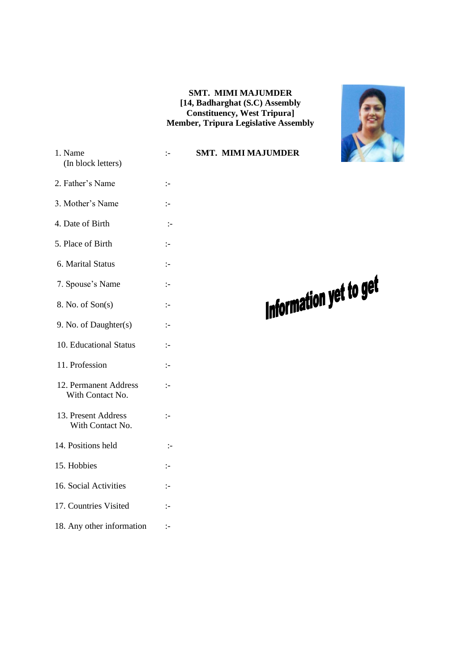#### **SMT. MIMI MAJUMDER [14, Badharghat (S.C) Assembly Constituency, West Tripura] Member, Tripura Legislative Assembly**



| (In block letters)                        |                |  |
|-------------------------------------------|----------------|--|
| 2. Father's Name                          | :-             |  |
| 3. Mother's Name                          | :-             |  |
| 4. Date of Birth                          | $\mathbb{I}^-$ |  |
| 5. Place of Birth                         | :-             |  |
| 6. Marital Status                         | $\mathbf{I}$   |  |
| 7. Spouse's Name                          | $\mathbf{L}$   |  |
| 8. No. of Son(s)                          | ÷              |  |
| 9. No. of Daughter(s)                     | ÷              |  |
| 10. Educational Status                    | $\mathbf{L}$   |  |
| 11. Profession                            | $\mathbb{I}$   |  |
| 12. Permanent Address<br>With Contact No. | $\mathbf{L}$   |  |
| 13. Present Address<br>With Contact No.   | :-             |  |
| 14. Positions held                        | :-             |  |
| 15. Hobbies                               | $\mathbf{I}$   |  |
| 16. Social Activities                     | :-             |  |
|                                           |                |  |

1. Name :- **SMT. MIMI MAJUMDER**

# Information yet to get

- 17. Countries Visited :-
- 18. Any other information :-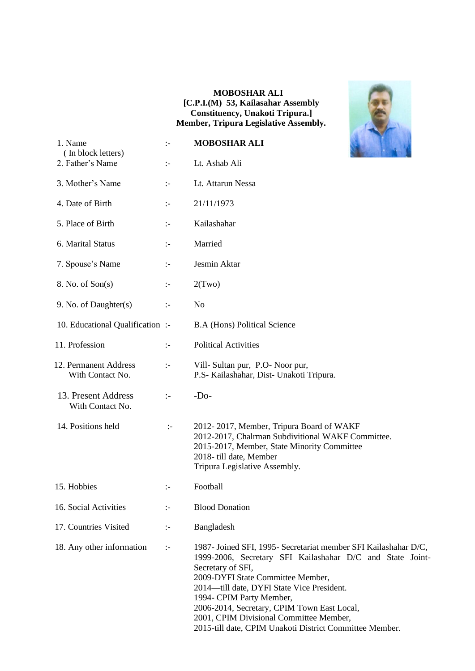#### **MOBOSHAR ALI [C.P.I.(M) 53, Kailasahar Assembly Constituency, Unakoti Tripura.] Member, Tripura Legislative Assembly.**



| 1. Name<br>(In block letters)             | $\mathbf{I}$         | <b>MOBOSHAR ALI</b>                                                                                                                                                                                                                                                                                                                                        |  |
|-------------------------------------------|----------------------|------------------------------------------------------------------------------------------------------------------------------------------------------------------------------------------------------------------------------------------------------------------------------------------------------------------------------------------------------------|--|
| 2. Father's Name                          | $\mathbb{I}^{\perp}$ | Lt. Ashab Ali                                                                                                                                                                                                                                                                                                                                              |  |
| 3. Mother's Name                          | $\mathbf{I}$         | Lt. Attarun Nessa                                                                                                                                                                                                                                                                                                                                          |  |
| 4. Date of Birth                          | $\mathbf{I}$         | 21/11/1973                                                                                                                                                                                                                                                                                                                                                 |  |
| 5. Place of Birth                         | $\mathbb{I}^{\perp}$ | Kailashahar                                                                                                                                                                                                                                                                                                                                                |  |
| 6. Marital Status                         | $\mathbb{I}^{\perp}$ | Married                                                                                                                                                                                                                                                                                                                                                    |  |
| 7. Spouse's Name                          | $\div$               | Jesmin Aktar                                                                                                                                                                                                                                                                                                                                               |  |
| 8. No. of Son(s)                          | $\mathbb{I}^{\perp}$ | 2(Two)                                                                                                                                                                                                                                                                                                                                                     |  |
| 9. No. of Daughter(s)                     | $\div$               | N <sub>0</sub>                                                                                                                                                                                                                                                                                                                                             |  |
| 10. Educational Qualification :-          |                      | <b>B.A (Hons) Political Science</b>                                                                                                                                                                                                                                                                                                                        |  |
| 11. Profession                            | $\mathbb{I}^{\perp}$ | <b>Political Activities</b>                                                                                                                                                                                                                                                                                                                                |  |
| 12. Permanent Address<br>With Contact No. | $\mathbb{I}$         | Vill- Sultan pur, P.O- Noor pur,<br>P.S- Kailashahar, Dist- Unakoti Tripura.                                                                                                                                                                                                                                                                               |  |
| 13. Present Address<br>With Contact No.   | $\mathbb{I}$         | $-Do-$                                                                                                                                                                                                                                                                                                                                                     |  |
| 14. Positions held                        | $\div$               | 2012-2017, Member, Tripura Board of WAKF<br>2012-2017, Chalrman Subdivitional WAKF Committee.<br>2015-2017, Member, State Minority Committee<br>2018- till date, Member<br>Tripura Legislative Assembly.                                                                                                                                                   |  |
| 15. Hobbies                               | $\mathbf{I}$         | Football                                                                                                                                                                                                                                                                                                                                                   |  |
| 16. Social Activities                     | ÷.                   | <b>Blood Donation</b>                                                                                                                                                                                                                                                                                                                                      |  |
| 17. Countries Visited                     | $\mathbb{I}^{\perp}$ | Bangladesh                                                                                                                                                                                                                                                                                                                                                 |  |
| 18. Any other information                 | ÷.                   | 1987- Joined SFI, 1995- Secretariat member SFI Kailashahar D/C,<br>1999-2006, Secretary SFI Kailashahar D/C and State Joint-<br>Secretary of SFI,<br>2009-DYFI State Committee Member,<br>2014—till date, DYFI State Vice President.<br>1994- CPIM Party Member,<br>2006-2014, Secretary, CPIM Town East Local,<br>2001, CPIM Divisional Committee Member, |  |

2015-till date, CPIM Unakoti District Committee Member.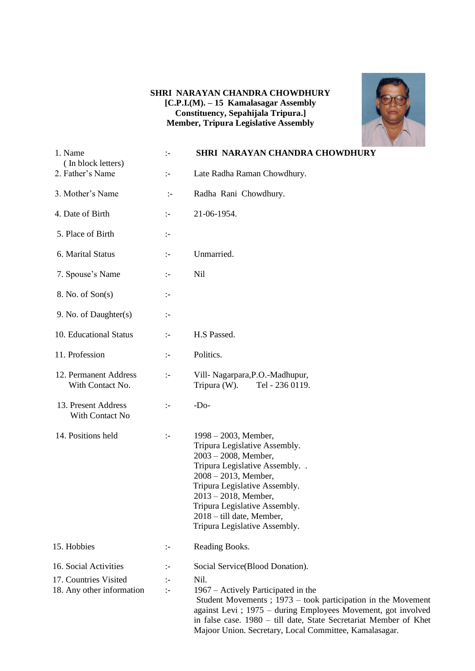#### **SHRI NARAYAN CHANDRA CHOWDHURY [C.P.I.(M). – 15 Kamalasagar Assembly Constituency, Sepahijala Tripura.] Member, Tripura Legislative Assembly**



| 1. Name<br>(In block letters)                                               | $\mathbf{I}$             | SHRI NARAYAN CHANDRA CHOWDHURY                                                                                                                                                                                                                                                                                                                    |
|-----------------------------------------------------------------------------|--------------------------|---------------------------------------------------------------------------------------------------------------------------------------------------------------------------------------------------------------------------------------------------------------------------------------------------------------------------------------------------|
| 2. Father's Name                                                            | $\mathbb{I}^{\perp}$     | Late Radha Raman Chowdhury.                                                                                                                                                                                                                                                                                                                       |
| 3. Mother's Name                                                            | $\div$                   | Radha Rani Chowdhury.                                                                                                                                                                                                                                                                                                                             |
| 4. Date of Birth                                                            | $\div$                   | 21-06-1954.                                                                                                                                                                                                                                                                                                                                       |
| 5. Place of Birth                                                           | $\mathbb{I}^-$           |                                                                                                                                                                                                                                                                                                                                                   |
| 6. Marital Status                                                           | $\mathbb{I}^-$           | Unmarried.                                                                                                                                                                                                                                                                                                                                        |
| 7. Spouse's Name                                                            | $\mathbb{I}^-$           | <b>Nil</b>                                                                                                                                                                                                                                                                                                                                        |
| 8. No. of Son(s)                                                            | $\mathbb{I}^-$           |                                                                                                                                                                                                                                                                                                                                                   |
| 9. No. of Daughter(s)                                                       | $\mathbb{I}^-$           |                                                                                                                                                                                                                                                                                                                                                   |
| 10. Educational Status                                                      | $\mathbb{I}^-$           | H.S Passed.                                                                                                                                                                                                                                                                                                                                       |
| 11. Profession                                                              | $\mathbb{I}^-$           | Politics.                                                                                                                                                                                                                                                                                                                                         |
| 12. Permanent Address<br>With Contact No.                                   | $\mathbb{I}^-$           | Vill- Nagarpara, P.O.-Madhupur,<br>Tripura (W).<br>Tel - 236 0119.                                                                                                                                                                                                                                                                                |
| 13. Present Address<br>With Contact No                                      | $\div$                   | $-Do-$                                                                                                                                                                                                                                                                                                                                            |
| 14. Positions held                                                          | $\div$                   | $1998 - 2003$ , Member,<br>Tripura Legislative Assembly.<br>$2003 - 2008$ , Member,<br>Tripura Legislative Assembly. .<br>$2008 - 2013$ , Member,<br>Tripura Legislative Assembly.<br>$2013 - 2018$ , Member,<br>Tripura Legislative Assembly.<br>2018 – till date, Member,<br>Tripura Legislative Assembly.                                      |
| 15. Hobbies                                                                 | $:-$                     | Reading Books.                                                                                                                                                                                                                                                                                                                                    |
| 16. Social Activities<br>17. Countries Visited<br>18. Any other information | :-<br>:-<br>$\mathbb{I}$ | Social Service(Blood Donation).<br>Nil.<br>1967 – Actively Participated in the<br>Student Movements ; $1973 -$ took participation in the Movement<br>against Levi ; 1975 – during Employees Movement, got involved<br>in false case. 1980 – till date, State Secretariat Member of Khet<br>Majoor Union. Secretary, Local Committee, Kamalasagar. |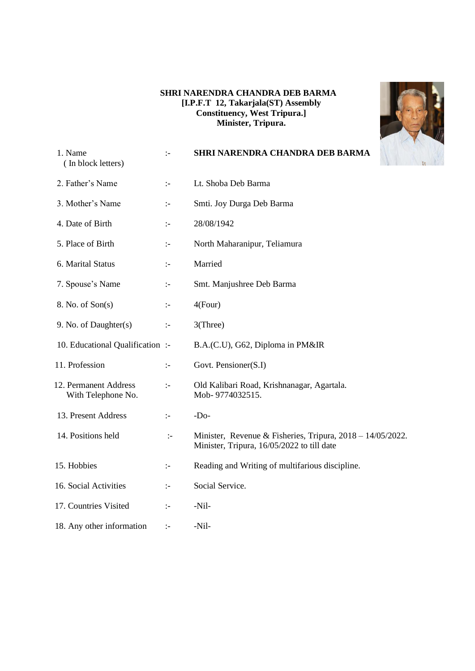#### **SHRI NARENDRA CHANDRA DEB BARMA [I.P.F.T 12, Takarjala(ST) Assembly Constituency, West Tripura.] Minister, Tripura.**



| 1. Name<br>(In block letters)               | $\mathbb{I}$         | SHRI NARENDRA CHANDRA DEB BARMA                                                                             |
|---------------------------------------------|----------------------|-------------------------------------------------------------------------------------------------------------|
| 2. Father's Name                            | $\mathbb{I}$         | Lt. Shoba Deb Barma                                                                                         |
| 3. Mother's Name                            | $\mathbb{I}^{\perp}$ | Smti. Joy Durga Deb Barma                                                                                   |
| 4. Date of Birth                            | $\mathbb{I}$         | 28/08/1942                                                                                                  |
| 5. Place of Birth                           | $\ddot{\phantom{1}}$ | North Maharanipur, Teliamura                                                                                |
| 6. Marital Status                           | $\mathbb{I}$         | Married                                                                                                     |
| 7. Spouse's Name                            | $\mathbb{I}^{\perp}$ | Smt. Manjushree Deb Barma                                                                                   |
| 8. No. of Son(s)                            | $\mathbb{I}$         | 4(Four)                                                                                                     |
| 9. No. of Daughter(s)                       | $\mathbb{I}^{\perp}$ | 3(Three)                                                                                                    |
| 10. Educational Qualification :-            |                      | B.A.(C.U), G62, Diploma in PM&IR                                                                            |
| 11. Profession                              | $\mathbb{I}^{\perp}$ | Govt. Pensioner(S.I)                                                                                        |
| 12. Permanent Address<br>With Telephone No. | $\mathbb{I}$         | Old Kalibari Road, Krishnanagar, Agartala.<br>Mob-9774032515.                                               |
| 13. Present Address                         | $\mathbb{I}$         | $-Do-$                                                                                                      |
| 14. Positions held                          | $\mathbf{I}$         | Minister, Revenue & Fisheries, Tripura, $2018 - 14/05/2022$ .<br>Minister, Tripura, 16/05/2022 to till date |
| 15. Hobbies                                 | ÷                    | Reading and Writing of multifarious discipline.                                                             |
| 16. Social Activities                       | $\mathbb{I}$         | Social Service.                                                                                             |
| 17. Countries Visited                       | $\mathbb{I}$         | -Nil-                                                                                                       |
| 18. Any other information                   | $\div$               | $-Nil-$                                                                                                     |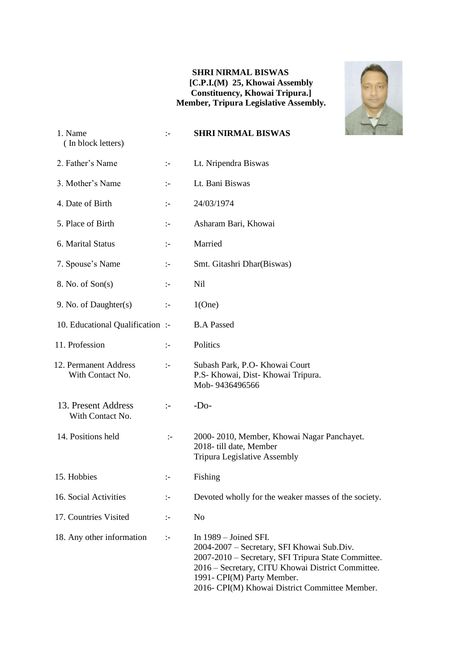#### **SHRI NIRMAL BISWAS [C.P.I.(M) 25, Khowai Assembly Constituency, Khowai Tripura.] Member, Tripura Legislative Assembly.**



| 1. Name<br>(In block letters)             | $\mathbf{I}$   | <b>SHRI NIRMAL BISWAS</b>                                                                                                                                                                                                                                         |  |
|-------------------------------------------|----------------|-------------------------------------------------------------------------------------------------------------------------------------------------------------------------------------------------------------------------------------------------------------------|--|
| 2. Father's Name                          | $\mathbb{I}^-$ | Lt. Nripendra Biswas                                                                                                                                                                                                                                              |  |
| 3. Mother's Name                          | $\mathbf{I}$   | Lt. Bani Biswas                                                                                                                                                                                                                                                   |  |
| 4. Date of Birth                          | $\mathbf{I}$   | 24/03/1974                                                                                                                                                                                                                                                        |  |
| 5. Place of Birth                         | $\mathbf{I}$   | Asharam Bari, Khowai                                                                                                                                                                                                                                              |  |
| 6. Marital Status                         | $\mathbb{I}^-$ | Married                                                                                                                                                                                                                                                           |  |
| 7. Spouse's Name                          | $\mathbb{I}^-$ | Smt. Gitashri Dhar(Biswas)                                                                                                                                                                                                                                        |  |
| 8. No. of Son(s)                          | $\mathbb{I}^-$ | Nil                                                                                                                                                                                                                                                               |  |
| 9. No. of Daughter(s)                     | $\div$         | 1(One)                                                                                                                                                                                                                                                            |  |
| 10. Educational Qualification:            |                | <b>B.A Passed</b>                                                                                                                                                                                                                                                 |  |
| 11. Profession                            | $\mathbb{I}$   | Politics                                                                                                                                                                                                                                                          |  |
| 12. Permanent Address<br>With Contact No. | $\mathbf{I}$   | Subash Park, P.O- Khowai Court<br>P.S- Khowai, Dist- Khowai Tripura.<br>Mob-9436496566                                                                                                                                                                            |  |
| 13. Present Address<br>With Contact No.   | $:-$           | $-DO$                                                                                                                                                                                                                                                             |  |
| 14. Positions held                        | $\mathbb{I}^-$ | 2000-2010, Member, Khowai Nagar Panchayet.<br>2018- till date, Member<br>Tripura Legislative Assembly                                                                                                                                                             |  |
| 15. Hobbies                               | ÷              | Fishing                                                                                                                                                                                                                                                           |  |
| 16. Social Activities                     | ÷              | Devoted wholly for the weaker masses of the society.                                                                                                                                                                                                              |  |
| 17. Countries Visited                     | ÷              | N <sub>o</sub>                                                                                                                                                                                                                                                    |  |
| 18. Any other information                 | $\div$         | In $1989 -$ Joined SFI.<br>2004-2007 – Secretary, SFI Khowai Sub.Div.<br>2007-2010 - Secretary, SFI Tripura State Committee.<br>2016 - Secretary, CITU Khowai District Committee.<br>1991- CPI(M) Party Member.<br>2016- CPI(M) Khowai District Committee Member. |  |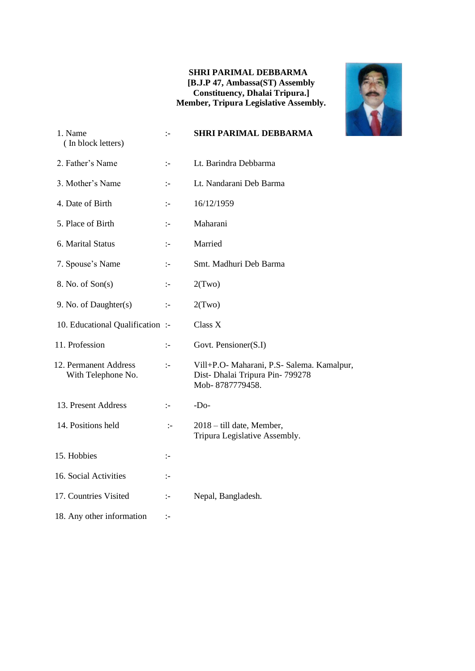#### **SHRI PARIMAL DEBBARMA [B.J.P 47, Ambassa(ST) Assembly Constituency, Dhalai Tripura.] Member, Tripura Legislative Assembly.**



| 1. Name<br>(In block letters)               | $\div$               | <b>SHRI PARIMAL DEBBARMA</b>                                                                    |
|---------------------------------------------|----------------------|-------------------------------------------------------------------------------------------------|
| 2. Father's Name                            | $\mathbb{I}$         | Lt. Barindra Debbarma                                                                           |
| 3. Mother's Name                            | $\mathbb{I}^{\perp}$ | Lt. Nandarani Deb Barma                                                                         |
| 4. Date of Birth                            | $\mathbb{I}$         | 16/12/1959                                                                                      |
| 5. Place of Birth                           | $\mathbb{I}^-$       | Maharani                                                                                        |
| 6. Marital Status                           | $\mathbf{I}$         | Married                                                                                         |
| 7. Spouse's Name                            | $\mathbf{I}$         | Smt. Madhuri Deb Barma                                                                          |
| 8. No. of Son(s)                            | $\mathbf{I}$         | 2(Two)                                                                                          |
| 9. No. of Daughter(s)                       | $\mathbb{I}^-$       | 2(Two)                                                                                          |
| 10. Educational Qualification:              |                      | Class X                                                                                         |
| 11. Profession                              | $\mathbb{I}$         | Govt. Pensioner(S.I)                                                                            |
| 12. Permanent Address<br>With Telephone No. | $\mathbb{I}$         | Vill+P.O- Maharani, P.S- Salema. Kamalpur,<br>Dist-Dhalai Tripura Pin-799278<br>Mob-8787779458. |
| 13. Present Address                         | $\mathbf{I}$         | $-DO$                                                                                           |
| 14. Positions held                          | $\mathbb{I}$         | 2018 – till date, Member,<br>Tripura Legislative Assembly.                                      |
| 15. Hobbies                                 | $\mathbb{I}^-$       |                                                                                                 |
| 16. Social Activities                       | $\mathbb{I}$         |                                                                                                 |
| 17. Countries Visited                       | $\mathbb{I}^-$       | Nepal, Bangladesh.                                                                              |
| 18. Any other information                   | ÷                    |                                                                                                 |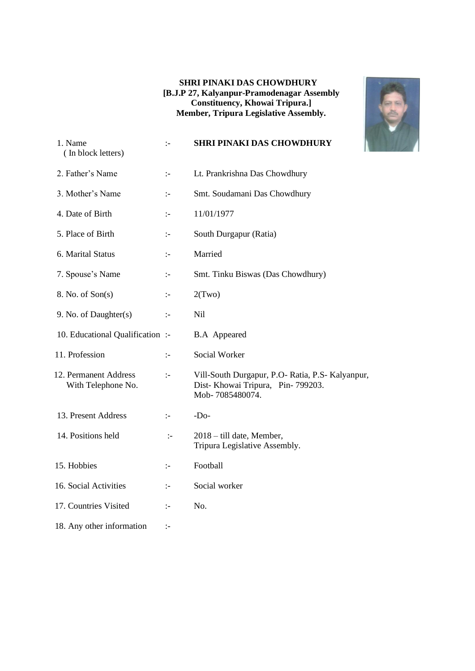#### **SHRI PINAKI DAS CHOWDHURY [B.J.P 27, Kalyanpur-Pramodenagar Assembly Constituency, Khowai Tripura.] Member, Tripura Legislative Assembly.**



| 1. Name<br>(In block letters)               | $\mathbb{I}$         | <b>SHRI PINAKI DAS CHOWDHURY</b>                                                                         |
|---------------------------------------------|----------------------|----------------------------------------------------------------------------------------------------------|
| 2. Father's Name                            | $\mathbb{I}^{\perp}$ | Lt. Prankrishna Das Chowdhury                                                                            |
| 3. Mother's Name                            | $\mathbb{I}$         | Smt. Soudamani Das Chowdhury                                                                             |
| 4. Date of Birth                            | $\mathbb{I}$         | 11/01/1977                                                                                               |
| 5. Place of Birth                           | $\mathbb{I}$         | South Durgapur (Ratia)                                                                                   |
| 6. Marital Status                           | $\mathbb{I}$         | Married                                                                                                  |
| 7. Spouse's Name                            | $\mathbb{I}$         | Smt. Tinku Biswas (Das Chowdhury)                                                                        |
| 8. No. of Son(s)                            | $\mathbb{I}^-$       | 2(Two)                                                                                                   |
| 9. No. of Daughter(s)                       | $\mathbb{I}^-$       | <b>Nil</b>                                                                                               |
| 10. Educational Qualification :-            |                      | <b>B.A</b> Appeared                                                                                      |
| 11. Profession                              | $\mathbb{I}$         | Social Worker                                                                                            |
| 12. Permanent Address<br>With Telephone No. | $\mathbb{I}$         | Vill-South Durgapur, P.O- Ratia, P.S- Kalyanpur,<br>Dist- Khowai Tripura, Pin-799203.<br>Mob-7085480074. |
| 13. Present Address                         | $\mathbf{I}$         | $-DO$                                                                                                    |
| 14. Positions held                          | $\div$               | 2018 – till date, Member,<br>Tripura Legislative Assembly.                                               |
| 15. Hobbies                                 | $\mathbb{I}^-$       | Football                                                                                                 |
| 16. Social Activities                       | $\mathbb{I}$         | Social worker                                                                                            |
| 17. Countries Visited                       | $\mathbb{I}$         | No.                                                                                                      |
| 18. Any other information                   | ÷                    |                                                                                                          |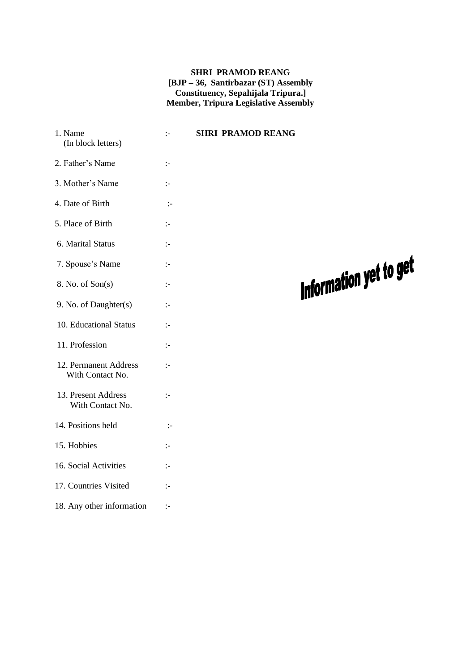#### **SHRI PRAMOD REANG [BJP – 36, Santirbazar (ST) Assembly Constituency, Sepahijala Tripura.] Member, Tripura Legislative Assembly**

| 1. Name<br>(In block letters)             | $\mathbb{I}$         | <b>SHRI PRAMOD REANG</b> |                        |
|-------------------------------------------|----------------------|--------------------------|------------------------|
| 2. Father's Name                          | $\mathbb{I}$         |                          |                        |
| 3. Mother's Name                          | $\mathbb{I}$         |                          |                        |
| 4. Date of Birth                          | $\div$               |                          |                        |
| 5. Place of Birth                         | $\mathbb{I}^{\perp}$ |                          |                        |
| 6. Marital Status                         | $\mathbb{I}$         |                          |                        |
| 7. Spouse's Name                          | $\mathbb{I}$         |                          | Information yet to get |
| 8. No. of Son(s)                          | $\div$               |                          |                        |
| 9. No. of Daughter(s)                     | $\mathbb{I}$         |                          |                        |
| 10. Educational Status                    | $\mathbb{I}$         |                          |                        |
| 11. Profession                            | $\mathbb{I}$         |                          |                        |
| 12. Permanent Address<br>With Contact No. | $\mathbb{I}$         |                          |                        |
| 13. Present Address<br>With Contact No.   | $\mathbb{I}$         |                          |                        |
| 14. Positions held                        | $\div$               |                          |                        |
| 15. Hobbies                               | $\mathbb{I}$         |                          |                        |
| 16. Social Activities                     | $\mathbb{I}^-$       |                          |                        |
| 17. Countries Visited                     | $\mathbb{I}$         |                          |                        |
| 18. Any other information                 | $\mathbb{I}^-$       |                          |                        |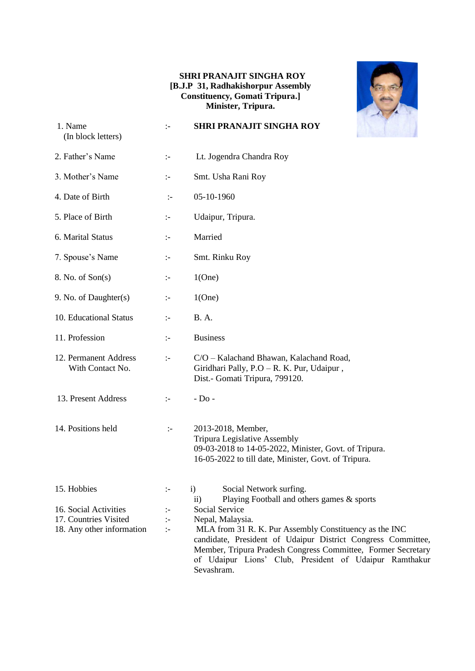#### **SHRI PRANAJIT SINGHA ROY [B.J.P 31, Radhakishorpur Assembly Constituency, Gomati Tripura.] Minister, Tripura.**



| 1. Name<br>(In block letters)             | $\mathbf{I}$         | <b>SHRI PRANAJIT SINGHA ROY</b>                                                                                                                                                                                                                                |
|-------------------------------------------|----------------------|----------------------------------------------------------------------------------------------------------------------------------------------------------------------------------------------------------------------------------------------------------------|
| 2. Father's Name                          | ÷                    | Lt. Jogendra Chandra Roy                                                                                                                                                                                                                                       |
| 3. Mother's Name                          | $\mathbb{I}^-$       | Smt. Usha Rani Roy                                                                                                                                                                                                                                             |
| 4. Date of Birth                          | $\mathbf{I}$         | 05-10-1960                                                                                                                                                                                                                                                     |
| 5. Place of Birth                         | $\mathbb{I}^{\perp}$ | Udaipur, Tripura.                                                                                                                                                                                                                                              |
| 6. Marital Status                         | $\mathbb{I}^-$       | Married                                                                                                                                                                                                                                                        |
| 7. Spouse's Name                          | $\mathbb{I}^{\perp}$ | Smt. Rinku Roy                                                                                                                                                                                                                                                 |
| 8. No. of Son(s)                          | $\mathbb{I}^-$       | 1(One)                                                                                                                                                                                                                                                         |
| 9. No. of Daughter(s)                     | $\mathbb{I}^{\perp}$ | 1(One)                                                                                                                                                                                                                                                         |
| 10. Educational Status                    | $\mathbf{I}$         | <b>B.A.</b>                                                                                                                                                                                                                                                    |
| 11. Profession                            | ÷                    | <b>Business</b>                                                                                                                                                                                                                                                |
| 12. Permanent Address<br>With Contact No. | $\mathbb{I}^-$       | C/O - Kalachand Bhawan, Kalachand Road,<br>Giridhari Pally, P.O - R. K. Pur, Udaipur,<br>Dist.- Gomati Tripura, 799120.                                                                                                                                        |
| 13. Present Address                       | $\mathbb{I}^-$       | $-$ Do $-$                                                                                                                                                                                                                                                     |
| 14. Positions held                        | $\mathbb{I}^{\perp}$ | 2013-2018, Member,<br>Tripura Legislative Assembly<br>09-03-2018 to 14-05-2022, Minister, Govt. of Tripura.<br>16-05-2022 to till date, Minister, Govt. of Tripura.                                                                                            |
| 15. Hobbies                               | :-                   | $\mathbf{i}$<br>Social Network surfing.<br>Playing Football and others games & sports<br>$\mathbf{ii}$                                                                                                                                                         |
| 16. Social Activities                     | ÷                    | Social Service                                                                                                                                                                                                                                                 |
| 17. Countries Visited                     | $\div$               | Nepal, Malaysia.                                                                                                                                                                                                                                               |
| 18. Any other information                 | $\mathbb{R}^2$       | MLA from 31 R. K. Pur Assembly Constituency as the INC<br>candidate, President of Udaipur District Congress Committee,<br>Member, Tripura Pradesh Congress Committee, Former Secretary<br>of Udaipur Lions' Club, President of Udaipur Ramthakur<br>Sevashram. |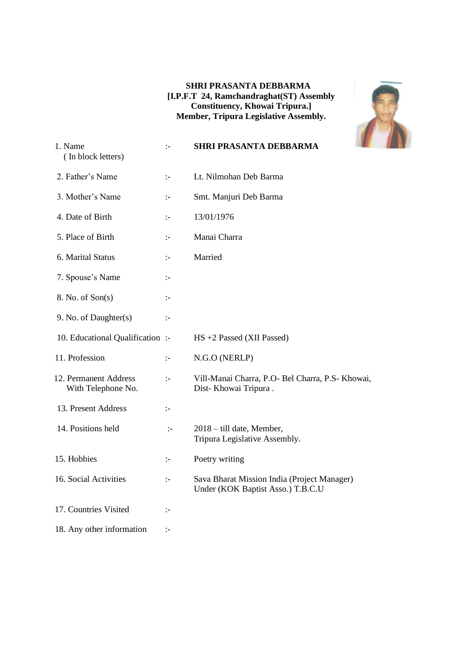#### **SHRI PRASANTA DEBBARMA [I.P.F.T 24, Ramchandraghat(ST) Assembly Constituency, Khowai Tripura.] Member, Tripura Legislative Assembly.**



| 1. Name<br>(In block letters)               | $\mathbf{I}$   | <b>SHRI PRASANTA DEBBARMA</b>                                                    |
|---------------------------------------------|----------------|----------------------------------------------------------------------------------|
| 2. Father's Name                            | $\mathbb{I}$   | Lt. Nilmohan Deb Barma                                                           |
| 3. Mother's Name                            | $\mathbb{I}$   | Smt. Manjuri Deb Barma                                                           |
| 4. Date of Birth                            | $\mathbb{I}$   | 13/01/1976                                                                       |
| 5. Place of Birth                           | $\div$         | Manai Charra                                                                     |
| 6. Marital Status                           | $\mathbb{I}$   | Married                                                                          |
| 7. Spouse's Name                            | $\mathbf{I}$   |                                                                                  |
| 8. No. of Son(s)                            | $\mathbf{I}$   |                                                                                  |
| 9. No. of Daughter(s)                       | $\mathbf{I}$   |                                                                                  |
| 10. Educational Qualification :-            |                | HS +2 Passed (XII Passed)                                                        |
| 11. Profession                              | $\mathbb{I}$   | N.G.O (NERLP)                                                                    |
| 12. Permanent Address<br>With Telephone No. | $\mathbb{I}$   | Vill-Manai Charra, P.O- Bel Charra, P.S- Khowai,<br>Dist-Khowai Tripura.         |
| 13. Present Address                         | $\div$         |                                                                                  |
| 14. Positions held                          | $\mathbb{I}$   | 2018 - till date, Member,<br>Tripura Legislative Assembly.                       |
| 15. Hobbies                                 | $\mathbb{I}$   | Poetry writing                                                                   |
| 16. Social Activities                       | $\mathbb{I}$   | Sava Bharat Mission India (Project Manager)<br>Under (KOK Baptist Asso.) T.B.C.U |
| 17. Countries Visited                       | $\mathbb{I}$   |                                                                                  |
| 18. Any other information                   | $\mathbb{I}^-$ |                                                                                  |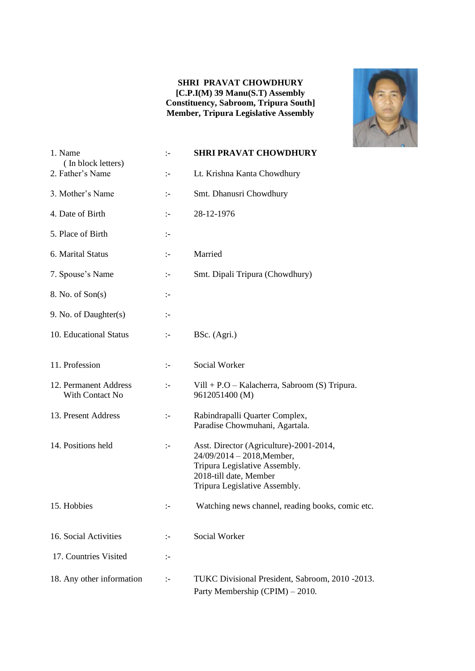#### **SHRI PRAVAT CHOWDHURY [C.P.I(M) 39 Manu(S.T) Assembly Constituency, Sabroom, Tripura South] Member, Tripura Legislative Assembly**



| 1. Name<br>(In block letters)            | $\mathbf{L}$         | <b>SHRI PRAVAT CHOWDHURY</b>                                                                                                                                      |
|------------------------------------------|----------------------|-------------------------------------------------------------------------------------------------------------------------------------------------------------------|
| 2. Father's Name                         | $:-$                 | Lt. Krishna Kanta Chowdhury                                                                                                                                       |
| 3. Mother's Name                         | $\mathbf{L}$         | Smt. Dhanusri Chowdhury                                                                                                                                           |
| 4. Date of Birth                         | $\mathbb{I}^{\perp}$ | 28-12-1976                                                                                                                                                        |
| 5. Place of Birth                        | ÷.                   |                                                                                                                                                                   |
| 6. Marital Status                        | $\div$               | Married                                                                                                                                                           |
| 7. Spouse's Name                         | $\mathbb{I}^{\perp}$ | Smt. Dipali Tripura (Chowdhury)                                                                                                                                   |
| 8. No. of Son(s)                         | $\mathbb{I}^{\perp}$ |                                                                                                                                                                   |
| 9. No. of Daughter(s)                    | $\mathbb{I}^{\perp}$ |                                                                                                                                                                   |
| 10. Educational Status                   | $\mathbb{I}^{\perp}$ | BSc. (Agri.)                                                                                                                                                      |
| 11. Profession                           | $:-$                 | Social Worker                                                                                                                                                     |
| 12. Permanent Address<br>With Contact No | $\div$               | Vill + P.O – Kalacherra, Sabroom (S) Tripura.<br>9612051400 (M)                                                                                                   |
| 13. Present Address                      | $\mathbb{I}^{\perp}$ | Rabindrapalli Quarter Complex,<br>Paradise Chowmuhani, Agartala.                                                                                                  |
| 14. Positions held                       | $\mathbb{I}^{\perp}$ | Asst. Director (Agriculture)-2001-2014,<br>24/09/2014 - 2018, Member,<br>Tripura Legislative Assembly.<br>2018-till date, Member<br>Tripura Legislative Assembly. |
| 15. Hobbies                              |                      | Watching news channel, reading books, comic etc.                                                                                                                  |
| 16. Social Activities                    | $\mathbb{I}^{\perp}$ | Social Worker                                                                                                                                                     |
| 17. Countries Visited                    | ÷:                   |                                                                                                                                                                   |
| 18. Any other information                | $\mathbb{I}^{\perp}$ | TUKC Divisional President, Sabroom, 2010 -2013.<br>Party Membership (CPIM) – 2010.                                                                                |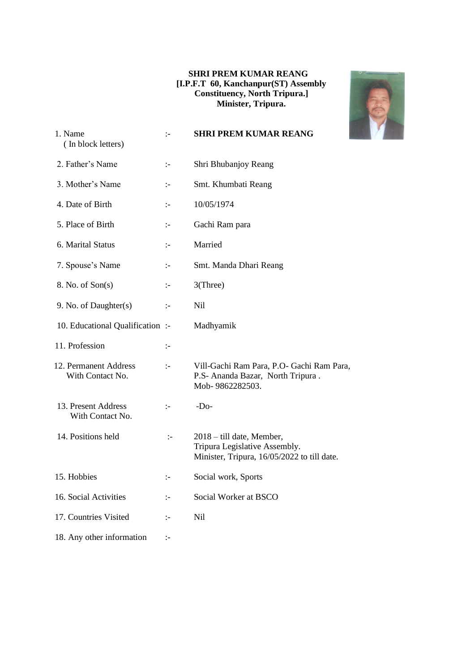#### **SHRI PREM KUMAR REANG [I.P.F.T 60, Kanchanpur(ST) Assembly Constituency, North Tripura.] Minister, Tripura.**



| 1. Name<br>(In block letters)             | $\mathbb{I}^-$ | <b>SHRI PREM KUMAR REANG</b>                                                                              |
|-------------------------------------------|----------------|-----------------------------------------------------------------------------------------------------------|
| 2. Father's Name                          | $\mathbb{I}^-$ | Shri Bhubanjoy Reang                                                                                      |
| 3. Mother's Name                          | $\mathbb{I}^-$ | Smt. Khumbati Reang                                                                                       |
| 4. Date of Birth                          | $\mathbb{I}$   | 10/05/1974                                                                                                |
| 5. Place of Birth                         | $\mathbb{I}$   | Gachi Ram para                                                                                            |
| 6. Marital Status                         | $\mathbb{I}$   | Married                                                                                                   |
| 7. Spouse's Name                          | $\mathbb{I}^-$ | Smt. Manda Dhari Reang                                                                                    |
| 8. No. of Son(s)                          | $\mathbb{I}^-$ | 3(Three)                                                                                                  |
| 9. No. of Daughter(s)                     | $\mathbb{I}$   | <b>Nil</b>                                                                                                |
| 10. Educational Qualification :-          |                | Madhyamik                                                                                                 |
| 11. Profession                            | $\mathbb{I}^-$ |                                                                                                           |
| 12. Permanent Address<br>With Contact No. | $\mathbb{I}^-$ | Vill-Gachi Ram Para, P.O- Gachi Ram Para,<br>P.S- Ananda Bazar, North Tripura.<br>Mob-9862282503.         |
| 13. Present Address<br>With Contact No.   | $\mathbb{I}$   | $-DO$                                                                                                     |
| 14. Positions held                        | $\mathbb{I}$   | 2018 – till date, Member,<br>Tripura Legislative Assembly.<br>Minister, Tripura, 16/05/2022 to till date. |
| 15. Hobbies                               | $\mathbb{I}^-$ | Social work, Sports                                                                                       |
| 16. Social Activities                     | $\mathbb{I}$   | Social Worker at BSCO                                                                                     |
| 17. Countries Visited                     | $\mathbb{I}$   | Nil                                                                                                       |
| 18. Any other information                 | ÷,             |                                                                                                           |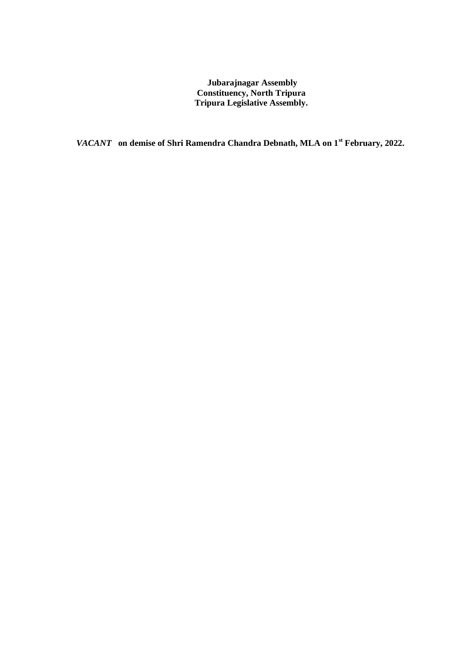**Jubarajnagar Assembly Constituency, North Tripura Tripura Legislative Assembly.**

*VACANT* **on demise of Shri Ramendra Chandra Debnath, MLA on 1st February, 2022.**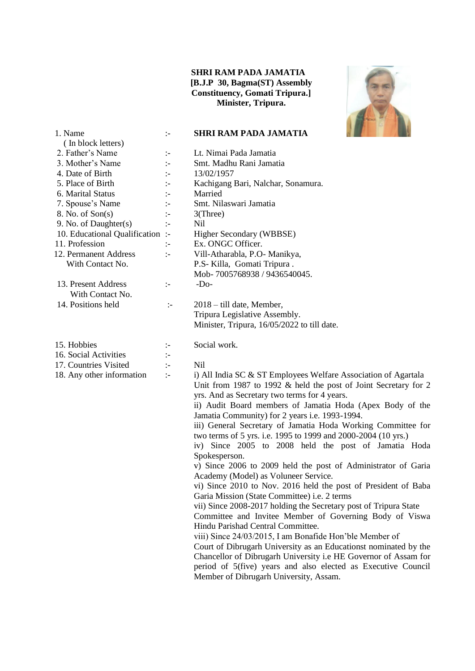#### **SHRI RAM PADA JAMATIA [B.J.P 30, Bagma(ST) Assembly Constituency, Gomati Tripura.] Minister, Tripura.**



| 1. Name                          | $\mathbb{I}$         | <b>SHRI RAM PADA JAMATIA</b>                                     |
|----------------------------------|----------------------|------------------------------------------------------------------|
| (In block letters)               |                      |                                                                  |
| 2. Father's Name                 | ÷                    | Lt. Nimai Pada Jamatia                                           |
| 3. Mother's Name                 | $\mathbb{I}^{\perp}$ | Smt. Madhu Rani Jamatia                                          |
| 4. Date of Birth                 | $\mathbb{I}$         | 13/02/1957                                                       |
| 5. Place of Birth                | $\mathbb{I}^{\perp}$ | Kachigang Bari, Nalchar, Sonamura.                               |
| 6. Marital Status                | $\mathbb{I}^{\perp}$ | Married                                                          |
| 7. Spouse's Name                 | $\mathbb{I}$         | Smt. Nilaswari Jamatia                                           |
| 8. No. of Son(s)                 | $\mathbb{I}$         | $3$ (Three)                                                      |
| 9. No. of Daughter(s)            | $\mathbb{I}$         | <b>Nil</b>                                                       |
| 10. Educational Qualification :- |                      | Higher Secondary (WBBSE)                                         |
| 11. Profession                   | $\mathbf{I}$         | Ex. ONGC Officer.                                                |
| 12. Permanent Address            | $\mathbb{I}^{\perp}$ | Vill-Atharabla, P.O- Manikya,                                    |
| With Contact No.                 |                      | P.S- Killa, Gomati Tripura.                                      |
|                                  |                      | Mob-7005768938 / 9436540045.                                     |
| 13. Present Address              | $\div$               | $-Do-$                                                           |
| With Contact No.                 |                      |                                                                  |
| 14. Positions held               | $\div$               | 2018 – till date, Member,                                        |
|                                  |                      | Tripura Legislative Assembly.                                    |
|                                  |                      | Minister, Tripura, 16/05/2022 to till date.                      |
|                                  |                      |                                                                  |
| 15. Hobbies                      | ÷                    | Social work.                                                     |
| 16. Social Activities            | $\mathbb{I}^-$       |                                                                  |
| 17. Countries Visited            | $\ddot{ }$ :-        | <b>Nil</b>                                                       |
| 18. Any other information        | $\mathbb{I}^{\perp}$ | i) All India SC & ST Employees Welfare Association of Agartala   |
|                                  |                      | Unit from 1987 to 1992 & held the post of Joint Secretary for 2  |
|                                  |                      | yrs. And as Secretary two terms for 4 years.                     |
|                                  |                      | ii) Audit Board members of Jamatia Hoda (Apex Body of the        |
|                                  |                      | Jamatia Community) for 2 years i.e. 1993-1994.                   |
|                                  |                      | iii) General Secretary of Jamatia Hoda Working Committee for     |
|                                  |                      | two terms of 5 yrs. i.e. 1995 to 1999 and 2000-2004 (10 yrs.)    |
|                                  |                      | iv) Since 2005 to 2008 held the post of Jamatia Hoda             |
|                                  |                      | Spokesperson.                                                    |
|                                  |                      | v) Since 2006 to 2009 held the post of Administrator of Garia    |
|                                  |                      | Academy (Model) as Voluneer Service.                             |
|                                  |                      | vi) Since 2010 to Nov. 2016 held the post of President of Baba   |
|                                  |                      | Garia Mission (State Committee) <i>i.e.</i> 2 terms              |
|                                  |                      | vii) Since 2008-2017 holding the Secretary post of Tripura State |
|                                  |                      | Committee and Invitee Member of Governing Body of Viswa          |
|                                  |                      | Hindu Parishad Central Committee.                                |
|                                  |                      | viii) Since 24/03/2015, I am Bonafide Hon'ble Member of          |
|                                  |                      | Court of Dibrugarh University as an Educationst nominated by the |
|                                  |                      | Chancellor of Dibrugarh University i.e HE Governor of Assam for  |
|                                  |                      | period of 5(five) years and also elected as Executive Council    |
|                                  |                      | Member of Dibrugarh University, Assam.                           |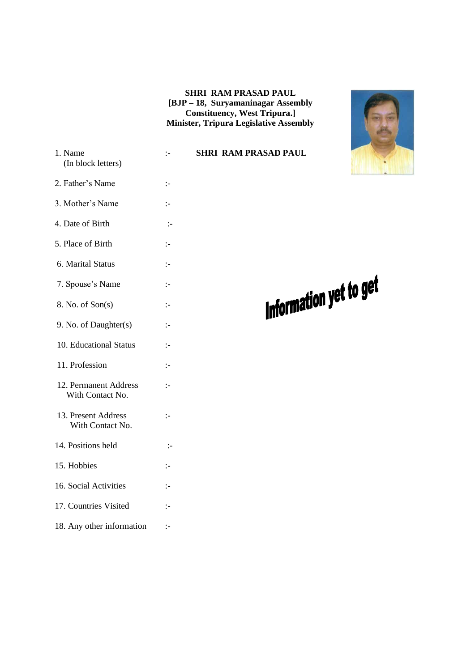#### **SHRI RAM PRASAD PAUL [BJP – 18, Suryamaninagar Assembly Constituency, West Tripura.] Minister, Tripura Legislative Assembly**



Information yet to get

- 1. Name :- **SHRI RAM PRASAD PAUL** (In block letters)
- 2. Father's Name :-
- 3. Mother's Name :-
- 4. Date of Birth :-
- 5. Place of Birth :-
- 6. Marital Status :-
- 7. Spouse's Name :-
- $8. No. of Son(s)$  :-
- 9. No. of Daughter(s) :-
- 10. Educational Status :-
- 11. Profession :-
- 12. Permanent Address :-With Contact No.
- 13. Present Address :- With Contact No.
- 14. Positions held :-
- $15.$  Hobbies  $\qquad \qquad \vdots$
- 16. Social Activities :-
- 17. Countries Visited :-
- 18. Any other information :-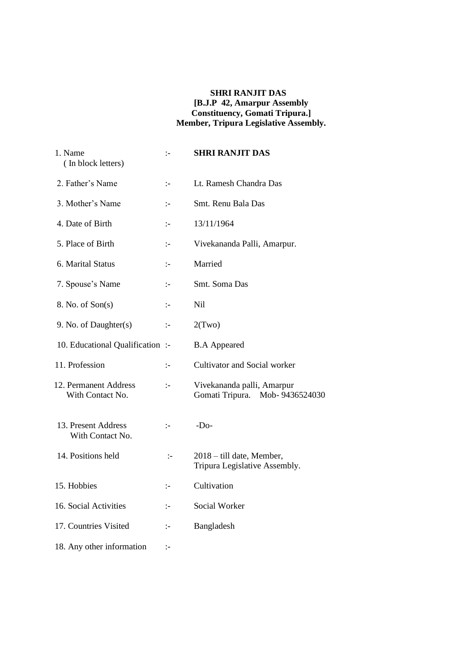#### **SHRI RANJIT DAS [B.J.P 42, Amarpur Assembly Constituency, Gomati Tripura.] Member, Tripura Legislative Assembly.**

| 1. Name<br>(In block letters)             | $\mathbf{I}$ | <b>SHRI RANJIT DAS</b>                                          |
|-------------------------------------------|--------------|-----------------------------------------------------------------|
| 2. Father's Name                          | $\mathbf{I}$ | Lt. Ramesh Chandra Das                                          |
| 3. Mother's Name                          | $\mathbf{I}$ | Smt. Renu Bala Das                                              |
| 4. Date of Birth                          | $\mathbf{I}$ | 13/11/1964                                                      |
| 5. Place of Birth                         | $\mathbf{I}$ | Vivekananda Palli, Amarpur.                                     |
| 6. Marital Status                         | $\mathbf{I}$ | Married                                                         |
| 7. Spouse's Name                          | $\mathbf{I}$ | Smt. Soma Das                                                   |
| 8. No. of Son(s)                          | $\mathbf{I}$ | Nil                                                             |
| 9. No. of Daughter(s)                     | $\mathbb{I}$ | 2(Two)                                                          |
| 10. Educational Qualification:            |              | <b>B.A Appeared</b>                                             |
| 11. Profession                            | $\mathbf{I}$ | Cultivator and Social worker                                    |
| 12. Permanent Address<br>With Contact No. | $\mathbf{I}$ | Vivekananda palli, Amarpur<br>Gomati Tripura.<br>Mob-9436524030 |
| 13. Present Address<br>With Contact No.   | $\mathbf{I}$ | $-Do-$                                                          |
| 14. Positions held                        | $\mathbf{I}$ | 2018 – till date, Member,<br>Tripura Legislative Assembly.      |
| 15. Hobbies                               | $\mathbf{I}$ | Cultivation                                                     |
| 16. Social Activities                     | $\mathbf{I}$ | Social Worker                                                   |
| 17. Countries Visited                     | $\mathbf{I}$ | Bangladesh                                                      |
| 18. Any other information                 | $\mathbf{I}$ |                                                                 |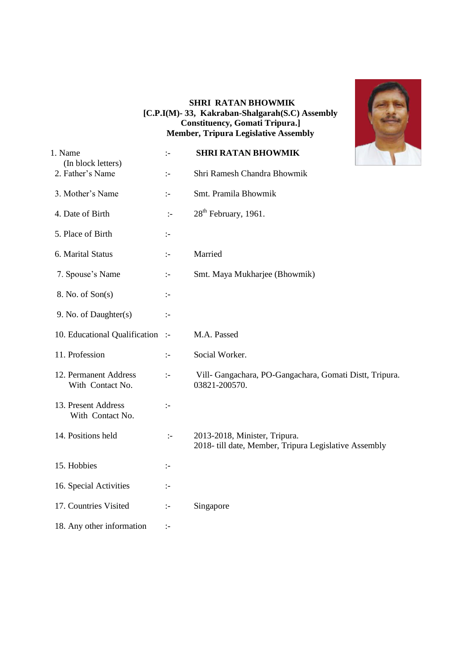#### **SHRI RATAN BHOWMIK [C.P.I(M)- 33, Kakraban-Shalgarah(S.C) Assembly Constituency, Gomati Tripura.] Member, Tripura Legislative Assembly**



| 1. Name<br>(In block letters)             | $\mathbb{I}$          | <b>SHRI RATAN BHOWMIK</b>                                                             |
|-------------------------------------------|-----------------------|---------------------------------------------------------------------------------------|
| 2. Father's Name                          | $\mathbb{I}$          | Shri Ramesh Chandra Bhowmik                                                           |
| 3. Mother's Name                          | $\mathbf{I}$          | Smt. Pramila Bhowmik                                                                  |
| 4. Date of Birth                          | $\div$                | 28 <sup>th</sup> February, 1961.                                                      |
| 5. Place of Birth                         | ÷:                    |                                                                                       |
| 6. Marital Status                         | $\mathbb{I}$          | Married                                                                               |
| 7. Spouse's Name                          | $\mathbb{I}$          | Smt. Maya Mukharjee (Bhowmik)                                                         |
| 8. No. of Son(s)                          | $\mathbb{I}^-$        |                                                                                       |
| 9. No. of Daughter(s)                     | $\mathbb{I}$          |                                                                                       |
| 10. Educational Qualification :-          |                       | M.A. Passed                                                                           |
| 11. Profession                            | $\mathbb{I}^{\perp}$  | Social Worker.                                                                        |
| 12. Permanent Address<br>With Contact No. | $\mathbb{I}^{\perp}$  | Vill- Gangachara, PO-Gangachara, Gomati Distt, Tripura.<br>03821-200570.              |
| 13. Present Address<br>With Contact No.   | $\mathbb{I}$          |                                                                                       |
| 14. Positions held                        | $\mathbb{I}$          | 2013-2018, Minister, Tripura.<br>2018-till date, Member, Tripura Legislative Assembly |
| 15. Hobbies                               | ÷                     |                                                                                       |
| 16. Special Activities                    | $\mathbb{I}^-$        |                                                                                       |
| 17. Countries Visited                     | $\mathbf{I}$          | Singapore                                                                             |
| 18. Any other information                 | $\mathrel{\mathop:}=$ |                                                                                       |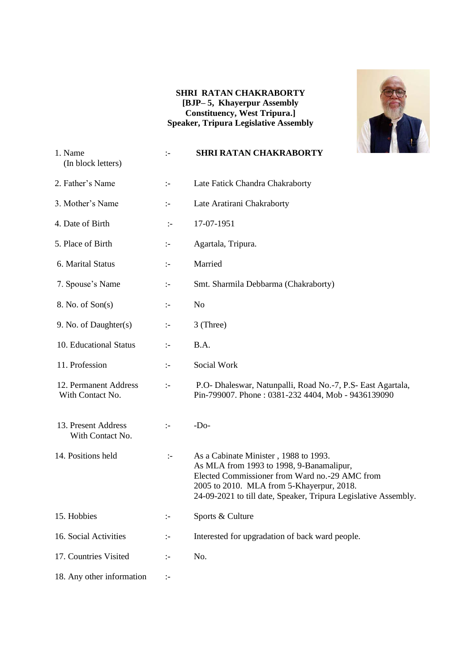#### **SHRI RATAN CHAKRABORTY [BJP– 5, Khayerpur Assembly Constituency, West Tripura.] Speaker, Tripura Legislative Assembly**



| 1. Name<br>(In block letters)             | :-                   | <b>SHRI RATAN CHAKRABORTY</b>                                                                                                                                                                                                                       |
|-------------------------------------------|----------------------|-----------------------------------------------------------------------------------------------------------------------------------------------------------------------------------------------------------------------------------------------------|
| 2. Father's Name                          | $\mathbb{I}^{\perp}$ | Late Fatick Chandra Chakraborty                                                                                                                                                                                                                     |
| 3. Mother's Name                          | $\mathbb{H}$         | Late Aratirani Chakraborty                                                                                                                                                                                                                          |
| 4. Date of Birth                          | $\mathbb{I}^-$       | 17-07-1951                                                                                                                                                                                                                                          |
| 5. Place of Birth                         | $\mathbb{I}$         | Agartala, Tripura.                                                                                                                                                                                                                                  |
| 6. Marital Status                         | $\mathbb{I}^-$       | Married                                                                                                                                                                                                                                             |
| 7. Spouse's Name                          | :-                   | Smt. Sharmila Debbarma (Chakraborty)                                                                                                                                                                                                                |
| 8. No. of Son(s)                          | $\mathbb{I}^{\perp}$ | N <sub>o</sub>                                                                                                                                                                                                                                      |
| 9. No. of Daughter(s)                     | $\mathbf{L}$         | 3 (Three)                                                                                                                                                                                                                                           |
| 10. Educational Status                    | $\mathbb{I}$         | B.A.                                                                                                                                                                                                                                                |
| 11. Profession                            | $\mathbb{I}^{\perp}$ | Social Work                                                                                                                                                                                                                                         |
| 12. Permanent Address<br>With Contact No. | $\mathbb{H}$         | P.O- Dhaleswar, Natunpalli, Road No.-7, P.S- East Agartala,<br>Pin-799007. Phone: 0381-232 4404, Mob - 9436139090                                                                                                                                   |
| 13. Present Address<br>With Contact No.   | $\div$               | $-Do-$                                                                                                                                                                                                                                              |
| 14. Positions held                        | $\mathbb{I}^-$       | As a Cabinate Minister, 1988 to 1993.<br>As MLA from 1993 to 1998, 9-Banamalipur,<br>Elected Commissioner from Ward no.-29 AMC from<br>2005 to 2010. MLA from 5-Khayerpur, 2018.<br>24-09-2021 to till date, Speaker, Tripura Legislative Assembly. |
| 15. Hobbies                               | :-                   | Sports & Culture                                                                                                                                                                                                                                    |
| 16. Social Activities                     | $\mathbb{I}^{\perp}$ | Interested for upgradation of back ward people.                                                                                                                                                                                                     |
| 17. Countries Visited                     | $\mathbf{L}$         | No.                                                                                                                                                                                                                                                 |
| 18. Any other information                 | $\mathbb{I}^{\perp}$ |                                                                                                                                                                                                                                                     |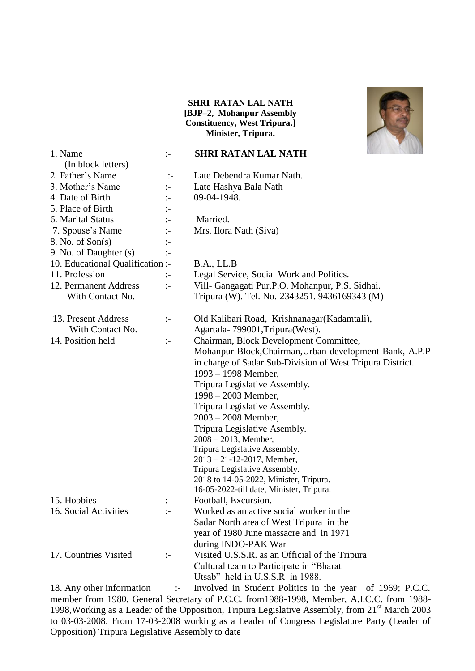#### **SHRI RATAN LAL NATH [BJP–2, Mohanpur Assembly Constituency, West Tripura.] Minister, Tripura.**



| 1. Name                          | $\mathbf{L}$          | <b>SHRI RATAN LAL NATH</b>                                |
|----------------------------------|-----------------------|-----------------------------------------------------------|
| (In block letters)               |                       |                                                           |
| 2. Father's Name                 | $\mathbb{I}^-$        | Late Debendra Kumar Nath.                                 |
| 3. Mother's Name                 | $:-$                  | Late Hashya Bala Nath                                     |
| 4. Date of Birth                 | $\mathbb{I}$          | 09-04-1948.                                               |
| 5. Place of Birth                | $:-$                  |                                                           |
| 6. Marital Status                | $\vdots$              | Married.                                                  |
| 7. Spouse's Name                 | $:-$                  | Mrs. Ilora Nath (Siva)                                    |
| 8. No. of Son(s)                 | $:-$                  |                                                           |
| 9. No. of Daughter (s)           | $\vdots$              |                                                           |
| 10. Educational Qualification :- |                       | B.A., LL.B                                                |
| 11. Profession                   | $:-$                  | Legal Service, Social Work and Politics.                  |
| 12. Permanent Address            | $\div$                | Vill- Gangagati Pur, P.O. Mohanpur, P.S. Sidhai.          |
| With Contact No.                 |                       | Tripura (W). Tel. No.-2343251. 9436169343 (M)             |
| 13. Present Address              | $:-$                  | Old Kalibari Road, Krishnanagar(Kadamtali),               |
| With Contact No.                 |                       | Agartala-799001, Tripura (West).                          |
| 14. Position held                | $:-$                  | Chairman, Block Development Committee,                    |
|                                  |                       | Mohanpur Block, Chairman, Urban development Bank, A.P.P   |
|                                  |                       | in charge of Sadar Sub-Division of West Tripura District. |
|                                  |                       | $1993 - 1998$ Member,                                     |
|                                  |                       | Tripura Legislative Assembly.                             |
|                                  |                       | 1998 – 2003 Member,                                       |
|                                  |                       | Tripura Legislative Assembly.                             |
|                                  |                       | $2003 - 2008$ Member,                                     |
|                                  |                       | Tripura Legislative Asembly.                              |
|                                  |                       | $2008 - 2013$ , Member,                                   |
|                                  |                       | Tripura Legislative Assembly.                             |
|                                  |                       | 2013 - 21-12-2017, Member,                                |
|                                  |                       | Tripura Legislative Assembly.                             |
|                                  |                       | 2018 to 14-05-2022, Minister, Tripura.                    |
|                                  |                       | 16-05-2022-till date, Minister, Tripura.                  |
| 15. Hobbies                      | $\mathrel{\mathop:}=$ | Football, Excursion.                                      |
| 16. Social Activities            | $\mathbf{L}$          | Worked as an active social worker in the                  |
|                                  |                       | Sadar North area of West Tripura in the                   |
|                                  |                       | year of 1980 June massacre and in 1971                    |
|                                  |                       | during INDO-PAK War                                       |
| 17. Countries Visited            | $:-$                  | Visited U.S.S.R. as an Official of the Tripura            |
|                                  |                       | Cultural team to Participate in "Bharat                   |
|                                  |                       | Utsab" held in U.S.S.R in 1988.                           |

18. Any other information :- Involved in Student Politics in the year of 1969; P.C.C. member from 1980, General Secretary of P.C.C. from1988-1998, Member, A.I.C.C. from 1988- 1998, Working as a Leader of the Opposition, Tripura Legislative Assembly, from 21<sup>st</sup> March 2003 to 03-03-2008. From 17-03-2008 working as a Leader of Congress Legislature Party (Leader of Opposition) Tripura Legislative Assembly to date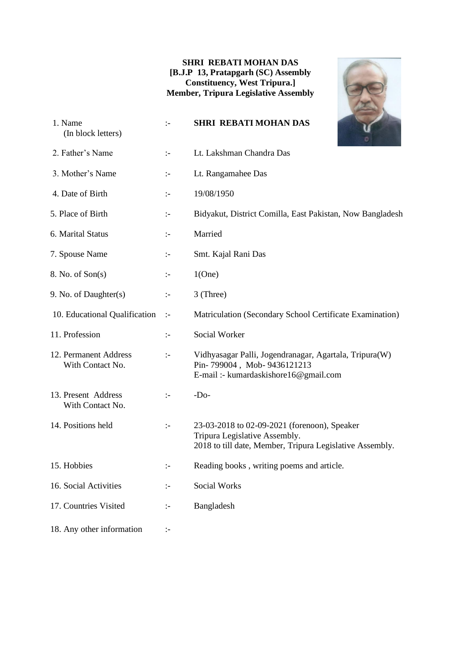#### **SHRI REBATI MOHAN DAS [B.J.P 13, Pratapgarh (SC) Assembly Constituency, West Tripura.] Member, Tripura Legislative Assembly**

| 1. Name<br>(In block letters)             | $\mathbf{I}$         | <b>SHRI REBATI MOHAN DAS</b>                                                                                                              |
|-------------------------------------------|----------------------|-------------------------------------------------------------------------------------------------------------------------------------------|
| 2. Father's Name                          | $\mathbf{I}$         | Lt. Lakshman Chandra Das                                                                                                                  |
| 3. Mother's Name                          | $\mathbb{I}$         | Lt. Rangamahee Das                                                                                                                        |
| 4. Date of Birth                          | $\mathbf{I}$         | 19/08/1950                                                                                                                                |
| 5. Place of Birth                         | $\mathbb{I}$         | Bidyakut, District Comilla, East Pakistan, Now Bangladesh                                                                                 |
| 6. Marital Status                         | $\mathbb{I}^{\perp}$ | Married                                                                                                                                   |
| 7. Spouse Name                            | $\mathbf{I}$         | Smt. Kajal Rani Das                                                                                                                       |
| 8. No. of Son(s)                          | ÷                    | 1(One)                                                                                                                                    |
| 9. No. of Daughter(s)                     | $\mathbf{I}$         | 3 (Three)                                                                                                                                 |
| 10. Educational Qualification             | $\mathbf{I}$         | Matriculation (Secondary School Certificate Examination)                                                                                  |
| 11. Profession                            | $\mathbf{I}$         | Social Worker                                                                                                                             |
| 12. Permanent Address<br>With Contact No. | $\mathbb{I}$         | Vidhyasagar Palli, Jogendranagar, Agartala, Tripura(W)<br>Pin-799004, Mob-9436121213<br>E-mail :- kumardaskishore16@gmail.com             |
| 13. Present Address<br>With Contact No.   | $\mathbf{I}$         | $-Do-$                                                                                                                                    |
| 14. Positions held                        | $\mathbb{I}$         | 23-03-2018 to 02-09-2021 (forenoon), Speaker<br>Tripura Legislative Assembly.<br>2018 to till date, Member, Tripura Legislative Assembly. |
| 15. Hobbies                               | ÷:                   | Reading books, writing poems and article.                                                                                                 |
| 16. Social Activities                     | :-                   | <b>Social Works</b>                                                                                                                       |
| 17. Countries Visited                     | $\mathbf{I}$         | Bangladesh                                                                                                                                |
| 18. Any other information                 | $\mathbf{I}$         |                                                                                                                                           |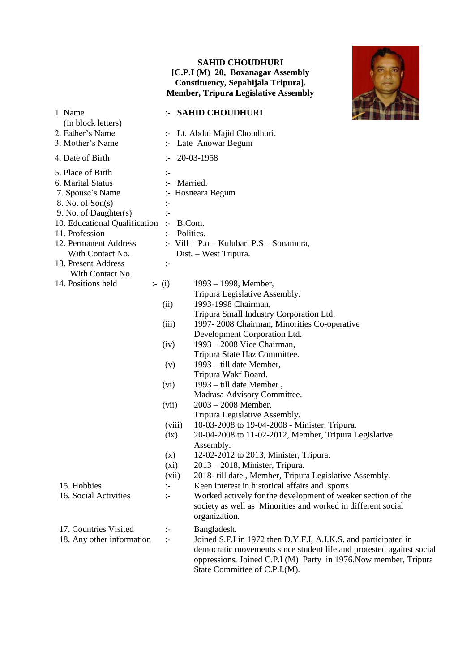#### **SAHID CHOUDHURI [C.P.I (M) 20, Boxanagar Assembly Constituency, Sepahijala Tripura]. Member, Tripura Legislative Assembly**



| 1. Name<br>(In block letters)           |                      | :- SAHID CHOUDHURI                                                   |  |
|-----------------------------------------|----------------------|----------------------------------------------------------------------|--|
| 2. Father's Name                        |                      | :- Lt. Abdul Majid Choudhuri.                                        |  |
| 3. Mother's Name                        |                      | :- Late Anowar Begum                                                 |  |
| 4. Date of Birth                        | $:-$                 | 20-03-1958                                                           |  |
| 5. Place of Birth                       | $\mathbf{I}$         |                                                                      |  |
| 6. Marital Status                       | :- Married.          |                                                                      |  |
| 7. Spouse's Name                        |                      | :- Hosneara Begum                                                    |  |
| 8. No. of Son(s)                        | ÷                    |                                                                      |  |
| 9. No. of Daughter(s)                   | $\div$               |                                                                      |  |
| 10. Educational Qualification :- B.Com. |                      |                                                                      |  |
| 11. Profession                          | :- Politics.         |                                                                      |  |
| 12. Permanent Address                   |                      | :- Vill + P.o - Kulubari P.S - Sonamura,                             |  |
| With Contact No.                        |                      | Dist. - West Tripura.                                                |  |
| 13. Present Address                     | $\ddot{.}$           |                                                                      |  |
| With Contact No.                        |                      |                                                                      |  |
| 14. Positions held                      | $\div$ (i)           | $1993 - 1998$ , Member,                                              |  |
|                                         |                      | Tripura Legislative Assembly.                                        |  |
|                                         | (ii)                 | 1993-1998 Chairman,                                                  |  |
|                                         |                      | Tripura Small Industry Corporation Ltd.                              |  |
|                                         | (iii)                | 1997-2008 Chairman, Minorities Co-operative                          |  |
|                                         | (iv)                 | Development Corporation Ltd.<br>$1993 - 2008$ Vice Chairman,         |  |
|                                         |                      | Tripura State Haz Committee.                                         |  |
|                                         | (v)                  | 1993 – till date Member,                                             |  |
|                                         |                      | Tripura Wakf Board.                                                  |  |
|                                         | (vi)                 | 1993 – till date Member,                                             |  |
|                                         |                      | Madrasa Advisory Committee.                                          |  |
|                                         | (vii)                | $2003 - 2008$ Member,                                                |  |
|                                         |                      | Tripura Legislative Assembly.                                        |  |
|                                         | (viii)               | 10-03-2008 to 19-04-2008 - Minister, Tripura.                        |  |
|                                         | (ix)                 | 20-04-2008 to 11-02-2012, Member, Tripura Legislative                |  |
|                                         |                      | Assembly.                                                            |  |
|                                         | (x)                  | 12-02-2012 to 2013, Minister, Tripura.                               |  |
|                                         | $(x_i)$              | $2013 - 2018$ , Minister, Tripura.                                   |  |
|                                         | (xii)                | 2018-till date, Member, Tripura Legislative Assembly.                |  |
| 15. Hobbies                             | $\mathbb{I}^{\perp}$ | Keen interest in historical affairs and sports.                      |  |
| 16. Social Activities                   | $\div$               | Worked actively for the development of weaker section of the         |  |
|                                         |                      | society as well as Minorities and worked in different social         |  |
|                                         |                      | organization.                                                        |  |
| 17. Countries Visited                   | $\ddot{\phantom{1}}$ | Bangladesh.                                                          |  |
| 18. Any other information               | $\div$               | Joined S.F.I in 1972 then D.Y.F.I, A.I.K.S. and participated in      |  |
|                                         |                      | democratic movements since student life and protested against social |  |
|                                         |                      | oppressions. Joined C.P.I (M) Party in 1976. Now member, Tripura     |  |
|                                         |                      | State Committee of C.P.I.(M).                                        |  |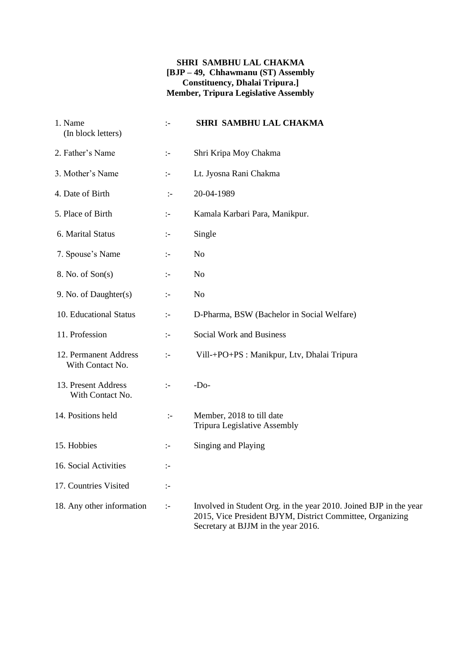#### **SHRI SAMBHU LAL CHAKMA [BJP – 49, Chhawmanu (ST) Assembly Constituency, Dhalai Tripura.] Member, Tripura Legislative Assembly**

| 1. Name<br>(In block letters)             | $\mathbb{I}$         | SHRI SAMBHU LAL CHAKMA                                                                                                                                                |
|-------------------------------------------|----------------------|-----------------------------------------------------------------------------------------------------------------------------------------------------------------------|
| 2. Father's Name                          | $\mathbb{I}$         | Shri Kripa Moy Chakma                                                                                                                                                 |
| 3. Mother's Name                          | $\mathbb{I}^-$       | Lt. Jyosna Rani Chakma                                                                                                                                                |
| 4. Date of Birth                          | $\mathbb{I}$         | 20-04-1989                                                                                                                                                            |
| 5. Place of Birth                         | $\mathbb{I}^{\perp}$ | Kamala Karbari Para, Manikpur.                                                                                                                                        |
| 6. Marital Status                         | $\mathbb{I}$         | Single                                                                                                                                                                |
| 7. Spouse's Name                          | $\mathbb{I}$         | N <sub>o</sub>                                                                                                                                                        |
| 8. No. of Son(s)                          | $\mathbb{I}$         | N <sub>o</sub>                                                                                                                                                        |
| 9. No. of Daughter(s)                     | $\mathbb{I}$         | N <sub>o</sub>                                                                                                                                                        |
| 10. Educational Status                    | $\mathbb{I}$         | D-Pharma, BSW (Bachelor in Social Welfare)                                                                                                                            |
| 11. Profession                            | $\mathbb{I}$         | Social Work and Business                                                                                                                                              |
| 12. Permanent Address<br>With Contact No. | $\mathbb{I}$         | Vill-+PO+PS : Manikpur, Ltv, Dhalai Tripura                                                                                                                           |
| 13. Present Address<br>With Contact No.   | $\mathbb{I}^{\perp}$ | $-DO$                                                                                                                                                                 |
| 14. Positions held                        | $\mathbb{I}$         | Member, 2018 to till date<br><b>Tripura Legislative Assembly</b>                                                                                                      |
| 15. Hobbies                               | $\mathbb{I}^{\perp}$ | Singing and Playing                                                                                                                                                   |
| 16. Social Activities                     | $\mathbb{I}$         |                                                                                                                                                                       |
| 17. Countries Visited                     | $\mathbb{I}$         |                                                                                                                                                                       |
| 18. Any other information                 | $\mathbb{I}^{\perp}$ | Involved in Student Org. in the year 2010. Joined BJP in the year<br>2015, Vice President BJYM, District Committee, Organizing<br>Secretary at BJJM in the year 2016. |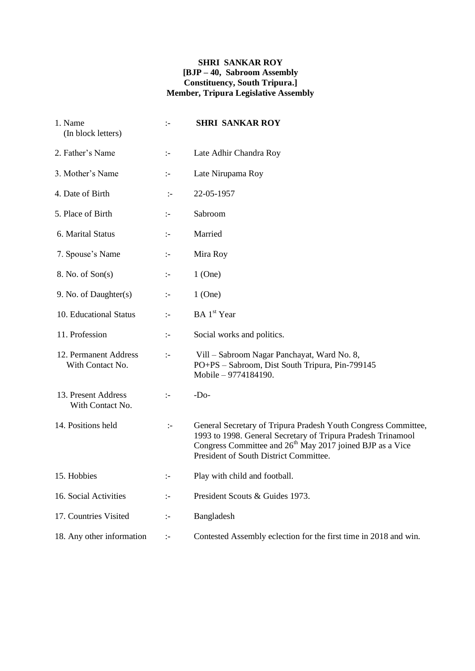#### **SHRI SANKAR ROY [BJP – 40, Sabroom Assembly Constituency, South Tripura.] Member, Tripura Legislative Assembly**

| 1. Name<br>(In block letters)             | $\div$                 | <b>SHRI SANKAR ROY</b>                                                                                                                                                                                                                            |
|-------------------------------------------|------------------------|---------------------------------------------------------------------------------------------------------------------------------------------------------------------------------------------------------------------------------------------------|
| 2. Father's Name                          | $\mathbb{I}^{\perp}$   | Late Adhir Chandra Roy                                                                                                                                                                                                                            |
| 3. Mother's Name                          | ÷                      | Late Nirupama Roy                                                                                                                                                                                                                                 |
| 4. Date of Birth                          | $:-$                   | 22-05-1957                                                                                                                                                                                                                                        |
| 5. Place of Birth                         | $\mathbb{I}^{\perp}$   | Sabroom                                                                                                                                                                                                                                           |
| 6. Marital Status                         | $\mathbb{I}^{\perp}$   | Married                                                                                                                                                                                                                                           |
| 7. Spouse's Name                          | $\mathbb{I}^{\perp}$   | Mira Roy                                                                                                                                                                                                                                          |
| 8. No. of Son(s)                          | $\ddot{\phantom{a}} =$ | $1$ (One)                                                                                                                                                                                                                                         |
| 9. No. of Daughter(s)                     | ÷                      | $1$ (One)                                                                                                                                                                                                                                         |
| 10. Educational Status                    | $\mathbb{I}^-$         | BA 1 <sup>st</sup> Year                                                                                                                                                                                                                           |
| 11. Profession                            | ÷                      | Social works and politics.                                                                                                                                                                                                                        |
| 12. Permanent Address<br>With Contact No. | $\mathbb{I}^-$         | Vill - Sabroom Nagar Panchayat, Ward No. 8,<br>PO+PS - Sabroom, Dist South Tripura, Pin-799145<br>Mobile - 9774184190.                                                                                                                            |
| 13. Present Address<br>With Contact No.   | $\mathbb{I}^{\perp}$   | $-Do-$                                                                                                                                                                                                                                            |
| 14. Positions held                        | $\div$                 | General Secretary of Tripura Pradesh Youth Congress Committee,<br>1993 to 1998. General Secretary of Tripura Pradesh Trinamool<br>Congress Committee and 26 <sup>th</sup> May 2017 joined BJP as a Vice<br>President of South District Committee. |
| 15. Hobbies                               |                        | Play with child and football.                                                                                                                                                                                                                     |
| 16. Social Activities                     | $\div$                 | President Scouts & Guides 1973.                                                                                                                                                                                                                   |
| 17. Countries Visited                     | $\div$                 | Bangladesh                                                                                                                                                                                                                                        |
| 18. Any other information                 | $\div$                 | Contested Assembly eclection for the first time in 2018 and win.                                                                                                                                                                                  |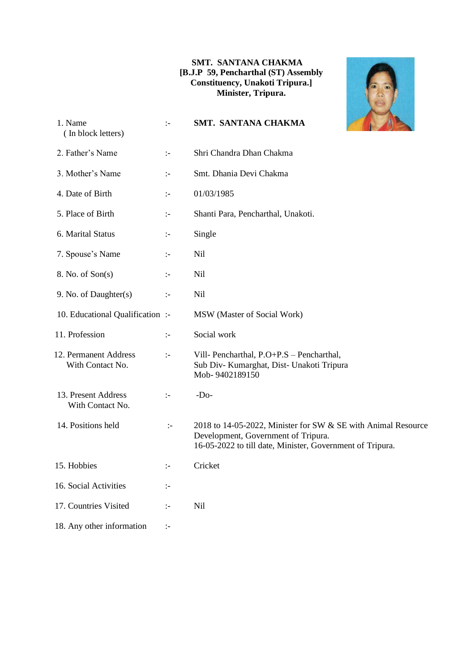#### **SMT. SANTANA CHAKMA [B.J.P 59, Pencharthal (ST) Assembly Constituency, Unakoti Tripura.] Minister, Tripura.**



| 1. Name<br>(In block letters)             | $\mathcal{L}$                                                                                                                                                                                                                                                                                                                                                                                 | SMT. SANTANA CHAKMA                                                                                                                                               |
|-------------------------------------------|-----------------------------------------------------------------------------------------------------------------------------------------------------------------------------------------------------------------------------------------------------------------------------------------------------------------------------------------------------------------------------------------------|-------------------------------------------------------------------------------------------------------------------------------------------------------------------|
| 2. Father's Name                          | $\mathbb{I}^{\mathbb{I}^{\mathbb{I}^{\mathbb{I}^{\mathbb{I}^{\mathbb{I}^{\mathbb{I}^{\mathbb{I}^{\mathbb{I}^{\mathbb{I}^{\mathbb{I}^{\mathbb{I}^{\mathbb{I}^{\mathbb{I}^{\mathbb{I}^{\mathbb{I}^{\mathbb{I}^{\mathbb{I}^{\mathbb{I}^{\mathbb{I}^{\mathbb{I}^{\mathbb{I}^{\mathbb{I}^{\mathbb{I}^{\mathbb{I}^{\mathbb{I}^{\mathbb{I}^{\mathbb{I}^{\mathbb{I}^{\mathbb{I}^{\mathbb{I}^{\mathbb$ | Shri Chandra Dhan Chakma                                                                                                                                          |
| 3. Mother's Name                          | ÷.                                                                                                                                                                                                                                                                                                                                                                                            | Smt. Dhania Devi Chakma                                                                                                                                           |
| 4. Date of Birth                          | $\mathbb{I}^{\perp}$                                                                                                                                                                                                                                                                                                                                                                          | 01/03/1985                                                                                                                                                        |
| 5. Place of Birth                         | ÷.                                                                                                                                                                                                                                                                                                                                                                                            | Shanti Para, Pencharthal, Unakoti.                                                                                                                                |
| 6. Marital Status                         | ÷.                                                                                                                                                                                                                                                                                                                                                                                            | Single                                                                                                                                                            |
| 7. Spouse's Name                          | ÷.                                                                                                                                                                                                                                                                                                                                                                                            | <b>Nil</b>                                                                                                                                                        |
| 8. No. of Son(s)                          | $\mathbb{I}^{\perp}$                                                                                                                                                                                                                                                                                                                                                                          | <b>Nil</b>                                                                                                                                                        |
| 9. No. of Daughter(s)                     | $\mathbb{I}^{\perp}$                                                                                                                                                                                                                                                                                                                                                                          | <b>Nil</b>                                                                                                                                                        |
| 10. Educational Qualification:            |                                                                                                                                                                                                                                                                                                                                                                                               | MSW (Master of Social Work)                                                                                                                                       |
| 11. Profession                            | $\mathbb{I}^{\mathbb{I}^{\mathbb{I}^{\mathbb{I}^{\mathbb{I}^{\mathbb{I}^{\mathbb{I}^{\mathbb{I}^{\mathbb{I}^{\mathbb{I}^{\mathbb{I}^{\mathbb{I}^{\mathbb{I}^{\mathbb{I}^{\mathbb{I}^{\mathbb{I}^{\mathbb{I}^{\mathbb{I}^{\mathbb{I}^{\mathbb{I}^{\mathbb{I}^{\mathbb{I}^{\mathbb{I}^{\mathbb{I}^{\mathbb{I}^{\mathbb{I}^{\mathbb{I}^{\mathbb{I}^{\mathbb{I}^{\mathbb{I}^{\mathbb{I}^{\mathbb$ | Social work                                                                                                                                                       |
| 12. Permanent Address<br>With Contact No. | $\mathbb{I}$                                                                                                                                                                                                                                                                                                                                                                                  | Vill- Pencharthal, P.O+P.S - Pencharthal,<br>Sub Div- Kumarghat, Dist- Unakoti Tripura<br>Mob-9402189150                                                          |
| 13. Present Address<br>With Contact No.   | $\mathbb{I}^{\perp}$                                                                                                                                                                                                                                                                                                                                                                          | $-Do-$                                                                                                                                                            |
| 14. Positions held                        | $\div$                                                                                                                                                                                                                                                                                                                                                                                        | 2018 to 14-05-2022, Minister for SW & SE with Animal Resource<br>Development, Government of Tripura.<br>16-05-2022 to till date, Minister, Government of Tripura. |
| 15. Hobbies                               | ÷                                                                                                                                                                                                                                                                                                                                                                                             | Cricket                                                                                                                                                           |
| 16. Social Activities                     | $\mathbf{L}$                                                                                                                                                                                                                                                                                                                                                                                  |                                                                                                                                                                   |
| 17. Countries Visited                     | $\mathbb{I}^{\perp}$                                                                                                                                                                                                                                                                                                                                                                          | Nil                                                                                                                                                               |
| 18. Any other information                 | $\mathbb{I}^{\perp}$                                                                                                                                                                                                                                                                                                                                                                          |                                                                                                                                                                   |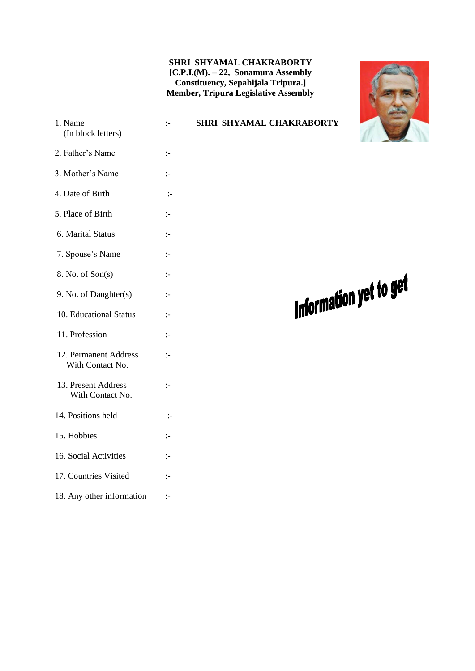#### **SHRI SHYAMAL CHAKRABORTY [C.P.I.(M). – 22, Sonamura Assembly Constituency, Sepahijala Tripura.] Member, Tripura Legislative Assembly**

![](_page_51_Picture_1.jpeg)

 1. Name :- **SHRI SHYAMAL CHAKRABORTY** (In block letters) 2. Father's Name :- 3. Mother's Name :- 4. Date of Birth :- 5. Place of Birth :- 6. Marital Status :- 7. Spouse's Name :- 8. No. of Son(s) :- 9. No. of Daughter(s) :- 10. Educational Status :- 11. Profession :- 12. Permanent Address :- With Contact No. 13. Present Address :- With Contact No. 14. Positions held :- 15. Hobbies :- 16. Social Activities :- 17. Countries Visited :- 18. Any other information :-

## Information yet to get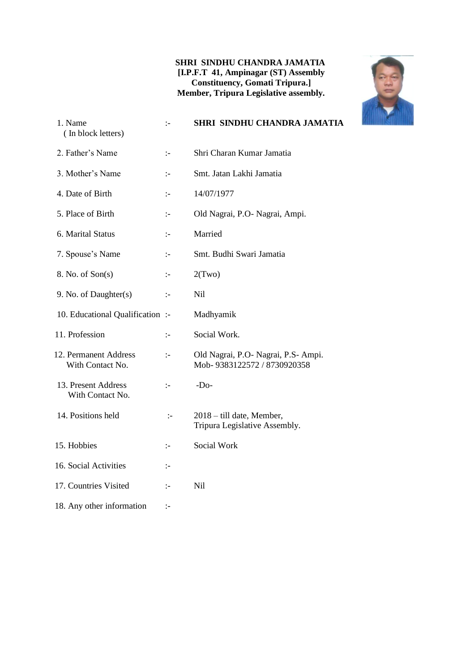#### **SHRI SINDHU CHANDRA JAMATIA [I.P.F.T 41, Ampinagar (ST) Assembly Constituency, Gomati Tripura.] Member, Tripura Legislative assembly.**

![](_page_52_Picture_1.jpeg)

| 1. Name<br>(In block letters)             | $\mathbf{I}$         | SHRI SINDHU CHANDRA JAMATIA                                        |
|-------------------------------------------|----------------------|--------------------------------------------------------------------|
| 2. Father's Name                          | $\mathbb{I}^{\perp}$ | Shri Charan Kumar Jamatia                                          |
| 3. Mother's Name                          | $\mathbb{I}$         | Smt. Jatan Lakhi Jamatia                                           |
| 4. Date of Birth                          | $\mathbf{I}$         | 14/07/1977                                                         |
| 5. Place of Birth                         | $\mathbf{I}$         | Old Nagrai, P.O- Nagrai, Ampi.                                     |
| 6. Marital Status                         | :-                   | Married                                                            |
| 7. Spouse's Name                          | $\mathbf{L}$         | Smt. Budhi Swari Jamatia                                           |
| 8. No. of Son(s)                          | $\mathbf{L}$         | 2(Two)                                                             |
| 9. No. of Daughter(s)                     | $\mathbf{I}$         | N <sub>il</sub>                                                    |
| 10. Educational Qualification :-          |                      | Madhyamik                                                          |
| 11. Profession                            | $\mathbf{I}$         | Social Work.                                                       |
| 12. Permanent Address<br>With Contact No. | $\mathbb{I}$         | Old Nagrai, P.O. Nagrai, P.S. Ampi.<br>Mob-9383122572 / 8730920358 |
| 13. Present Address<br>With Contact No.   | $\mathbf{I}$         | $-Do-$                                                             |
| 14. Positions held                        | $\div$               | 2018 - till date, Member,<br>Tripura Legislative Assembly.         |
| 15. Hobbies                               | :-                   | Social Work                                                        |
| 16. Social Activities                     | $\mathbf{I}$         |                                                                    |
| 17. Countries Visited                     | :-                   | Nil                                                                |
| 18. Any other information                 | $\mathbf{I}$         |                                                                    |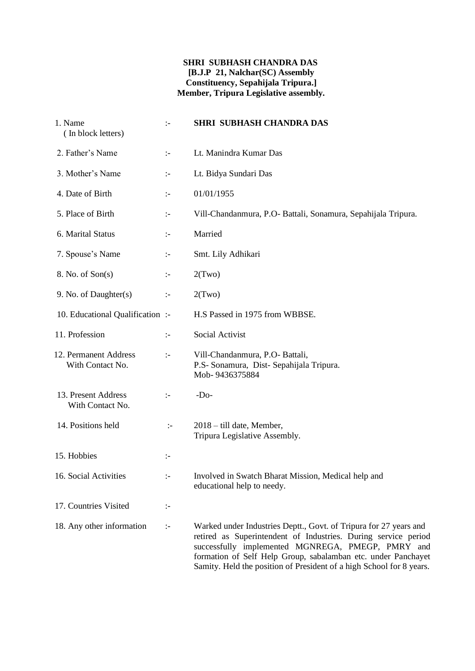#### **SHRI SUBHASH CHANDRA DAS [B.J.P 21, Nalchar(SC) Assembly Constituency, Sepahijala Tripura.] Member, Tripura Legislative assembly.**

| 1. Name<br>(In block letters)             | $\mathbf{I}$         | <b>SHRI SUBHASH CHANDRA DAS</b>                                                                                                                                                                                                                                                                                                   |
|-------------------------------------------|----------------------|-----------------------------------------------------------------------------------------------------------------------------------------------------------------------------------------------------------------------------------------------------------------------------------------------------------------------------------|
| 2. Father's Name                          | $\mathbb{I}^-$       | Lt. Manindra Kumar Das                                                                                                                                                                                                                                                                                                            |
| 3. Mother's Name                          | $\mathbb{I}^-$       | Lt. Bidya Sundari Das                                                                                                                                                                                                                                                                                                             |
| 4. Date of Birth                          | $\mathbb{I}^{\perp}$ | 01/01/1955                                                                                                                                                                                                                                                                                                                        |
| 5. Place of Birth                         | $\mathbb{I}^-$       | Vill-Chandanmura, P.O- Battali, Sonamura, Sepahijala Tripura.                                                                                                                                                                                                                                                                     |
| 6. Marital Status                         | $\mathbb{I}^-$       | Married                                                                                                                                                                                                                                                                                                                           |
| 7. Spouse's Name                          | $\mathbb{I}^{\perp}$ | Smt. Lily Adhikari                                                                                                                                                                                                                                                                                                                |
| 8. No. of Son(s)                          | $\mathbb{I}^-$       | 2(Two)                                                                                                                                                                                                                                                                                                                            |
| 9. No. of Daughter(s)                     | $\mathbb{I}^-$       | 2(Two)                                                                                                                                                                                                                                                                                                                            |
| 10. Educational Qualification :-          |                      | H.S Passed in 1975 from WBBSE.                                                                                                                                                                                                                                                                                                    |
| 11. Profession                            | ÷                    | Social Activist                                                                                                                                                                                                                                                                                                                   |
| 12. Permanent Address<br>With Contact No. | $\mathbb{I}^-$       | Vill-Chandanmura, P.O- Battali,<br>P.S- Sonamura, Dist- Sepahijala Tripura.<br>Mob-9436375884                                                                                                                                                                                                                                     |
| 13. Present Address<br>With Contact No.   | $\mathbb{I}^-$       | $-Do-$                                                                                                                                                                                                                                                                                                                            |
| 14. Positions held                        | $\mathbf{I}$         | 2018 – till date, Member,<br>Tripura Legislative Assembly.                                                                                                                                                                                                                                                                        |
| 15. Hobbies                               | ÷                    |                                                                                                                                                                                                                                                                                                                                   |
| 16. Social Activities                     |                      | Involved in Swatch Bharat Mission, Medical help and<br>educational help to needy.                                                                                                                                                                                                                                                 |
| 17. Countries Visited                     | ÷                    |                                                                                                                                                                                                                                                                                                                                   |
| 18. Any other information                 | $\mathbb{I}^{\perp}$ | Warked under Industries Deptt., Govt. of Tripura for 27 years and<br>retired as Superintendent of Industries. During service period<br>successfully implemented MGNREGA, PMEGP, PMRY and<br>formation of Self Help Group, sabalamban etc. under Panchayet<br>Samity. Held the position of President of a high School for 8 years. |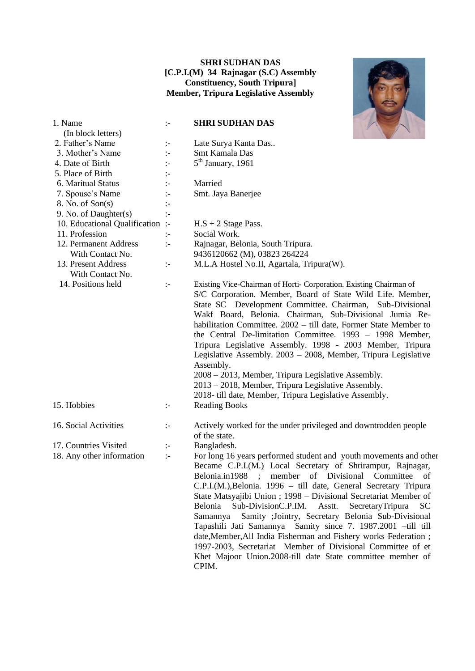#### **SHRI SUDHAN DAS [C.P.I.(M) 34 Rajnagar (S.C) Assembly Constituency, South Tripura] Member, Tripura Legislative Assembly**

![](_page_54_Picture_1.jpeg)

| 1. Name                                                 | $\mathbb{I}$         | <b>SHRI SUDHAN DAS</b>                                                                                                                                                                                                                                                                                                                                                                                                                                                                                                                                                                                                                                                                                                                               |
|---------------------------------------------------------|----------------------|------------------------------------------------------------------------------------------------------------------------------------------------------------------------------------------------------------------------------------------------------------------------------------------------------------------------------------------------------------------------------------------------------------------------------------------------------------------------------------------------------------------------------------------------------------------------------------------------------------------------------------------------------------------------------------------------------------------------------------------------------|
| (In block letters)                                      |                      |                                                                                                                                                                                                                                                                                                                                                                                                                                                                                                                                                                                                                                                                                                                                                      |
| 2. Father's Name                                        | $\mathbb{I}^-$       | Late Surya Kanta Das                                                                                                                                                                                                                                                                                                                                                                                                                                                                                                                                                                                                                                                                                                                                 |
| 3. Mother's Name                                        | $\mathbb{I}$         | Smt Kamala Das                                                                                                                                                                                                                                                                                                                                                                                                                                                                                                                                                                                                                                                                                                                                       |
| 4. Date of Birth                                        | $\mathbb{I}$         | $5th$ January, 1961                                                                                                                                                                                                                                                                                                                                                                                                                                                                                                                                                                                                                                                                                                                                  |
| 5. Place of Birth                                       | $\mathbb{I}$         |                                                                                                                                                                                                                                                                                                                                                                                                                                                                                                                                                                                                                                                                                                                                                      |
| 6. Maritual Status                                      | $\ddot{\cdot}$       | Married                                                                                                                                                                                                                                                                                                                                                                                                                                                                                                                                                                                                                                                                                                                                              |
| 7. Spouse's Name                                        | $\ddot{\phantom{1}}$ | Smt. Jaya Banerjee                                                                                                                                                                                                                                                                                                                                                                                                                                                                                                                                                                                                                                                                                                                                   |
| 8. No. of Son(s)                                        | $\div$               |                                                                                                                                                                                                                                                                                                                                                                                                                                                                                                                                                                                                                                                                                                                                                      |
| 9. No. of Daughter(s)<br>10. Educational Qualification: | $\div$               |                                                                                                                                                                                                                                                                                                                                                                                                                                                                                                                                                                                                                                                                                                                                                      |
| 11. Profession                                          |                      | $H.S + 2$ Stage Pass.<br>Social Work.                                                                                                                                                                                                                                                                                                                                                                                                                                                                                                                                                                                                                                                                                                                |
| 12. Permanent Address                                   | $\div$               |                                                                                                                                                                                                                                                                                                                                                                                                                                                                                                                                                                                                                                                                                                                                                      |
| With Contact No.                                        | $\div$               | Rajnagar, Belonia, South Tripura.                                                                                                                                                                                                                                                                                                                                                                                                                                                                                                                                                                                                                                                                                                                    |
|                                                         |                      | 9436120662 (M), 03823 264224                                                                                                                                                                                                                                                                                                                                                                                                                                                                                                                                                                                                                                                                                                                         |
| 13. Present Address<br>With Contact No.                 | $\mathbb{I}^{\perp}$ | M.L.A Hostel No.II, Agartala, Tripura(W).                                                                                                                                                                                                                                                                                                                                                                                                                                                                                                                                                                                                                                                                                                            |
| 14. Positions held                                      | $\mathbb{I}^-$       | Existing Vice-Chairman of Horti- Corporation. Existing Chairman of<br>S/C Corporation. Member, Board of State Wild Life. Member,<br>State SC Development Committee. Chairman, Sub-Divisional<br>Wakf Board, Belonia. Chairman, Sub-Divisional Jumia Re-<br>habilitation Committee. 2002 - till date, Former State Member to<br>the Central De-limitation Committee. 1993 - 1998 Member,<br>Tripura Legislative Assembly. 1998 - 2003 Member, Tripura<br>Legislative Assembly. 2003 - 2008, Member, Tripura Legislative<br>Assembly.<br>2008 – 2013, Member, Tripura Legislative Assembly.<br>2013 – 2018, Member, Tripura Legislative Assembly.<br>2018- till date, Member, Tripura Legislative Assembly.                                            |
| 15. Hobbies                                             | $\mathbb{I}^{\perp}$ | <b>Reading Books</b>                                                                                                                                                                                                                                                                                                                                                                                                                                                                                                                                                                                                                                                                                                                                 |
| 16. Social Activities                                   | $\mathbb{I}^-$       | Actively worked for the under privileged and downtrodden people<br>of the state.                                                                                                                                                                                                                                                                                                                                                                                                                                                                                                                                                                                                                                                                     |
| 17. Countries Visited                                   | ÷                    | Bangladesh.                                                                                                                                                                                                                                                                                                                                                                                                                                                                                                                                                                                                                                                                                                                                          |
| 18. Any other information                               | $\mathbb{R}^2$       | For long 16 years performed student and youth movements and other<br>Became C.P.I.(M.) Local Secretary of Shrirampur, Rajnagar,<br>Belonia.in1988 ; member of Divisional Committee of<br>C.P.I.(M.), Belonia. 1996 - till date, General Secretary Tripura<br>State Matsyajibi Union ; 1998 - Divisional Secretariat Member of<br>Belonia<br>Sub-DivisionC.P.IM.<br>Asstt.<br>SecretaryTripura<br><b>SC</b><br>Samity ;Jointry, Secretary Belonia Sub-Divisional<br>Samannya<br>Tapashili Jati Samannya Samity since 7. 1987.2001 -till till<br>date, Member, All India Fisherman and Fishery works Federation;<br>1997-2003, Secretariat Member of Divisional Committee of et<br>Khet Majoor Union.2008-till date State committee member of<br>CPIM. |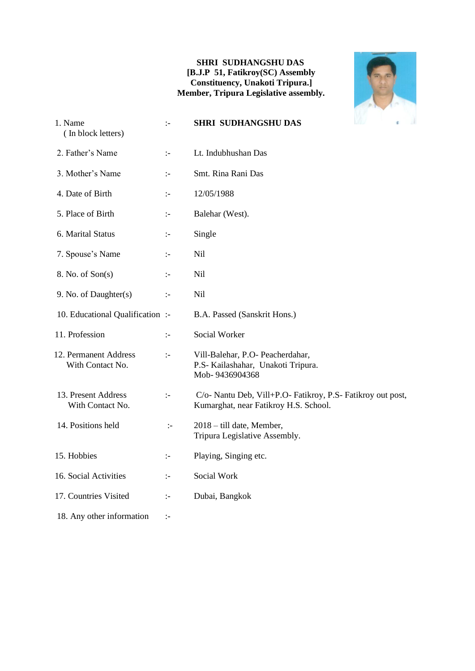#### **SHRI SUDHANGSHU DAS [B.J.P 51, Fatikroy(SC) Assembly Constituency, Unakoti Tripura.] Member, Tripura Legislative assembly.**

![](_page_55_Picture_1.jpeg)

| 1. Name<br>(In block letters)             | $\mathbb{I}$         | <b>SHRI SUDHANGSHU DAS</b><br>¢.                                                                     |
|-------------------------------------------|----------------------|------------------------------------------------------------------------------------------------------|
| 2. Father's Name                          | $\mathbb{I}^-$       | Lt. Indubhushan Das                                                                                  |
| 3. Mother's Name                          | $\mathbb{I}$         | Smt. Rina Rani Das                                                                                   |
| 4. Date of Birth                          | $\mathbb{I}$         | 12/05/1988                                                                                           |
| 5. Place of Birth                         | $\mathbb{I}$         | Balehar (West).                                                                                      |
| 6. Marital Status                         | $\mathbb{I}^-$       | Single                                                                                               |
| 7. Spouse's Name                          | $\mathbb{I}^-$       | Nil                                                                                                  |
| 8. No. of Son(s)                          | $\mathbb{I}^-$       | Nil                                                                                                  |
| 9. No. of Daughter(s)                     | $\mathbb{I}$         | Nil                                                                                                  |
| 10. Educational Qualification :-          |                      | B.A. Passed (Sanskrit Hons.)                                                                         |
| 11. Profession                            | $\div$               | Social Worker                                                                                        |
| 12. Permanent Address<br>With Contact No. | $\mathbb{I}^{\perp}$ | Vill-Balehar, P.O- Peacherdahar,<br>P.S- Kailashahar, Unakoti Tripura.<br>Mob-9436904368             |
| 13. Present Address<br>With Contact No.   | $\mathbb{I}$         | C/o- Nantu Deb, Vill+P.O- Fatikroy, P.S- Fatikroy out post,<br>Kumarghat, near Fatikroy H.S. School. |
| 14. Positions held                        | $\mathbb{I}$         | 2018 – till date, Member,<br>Tripura Legislative Assembly.                                           |
| 15. Hobbies                               | $\mathbb{I}^-$       | Playing, Singing etc.                                                                                |
| 16. Social Activities                     | $\mathbb{I}$         | Social Work                                                                                          |
| 17. Countries Visited                     | $\mathbb{I}^-$       | Dubai, Bangkok                                                                                       |
| 18. Any other information                 | ÷                    |                                                                                                      |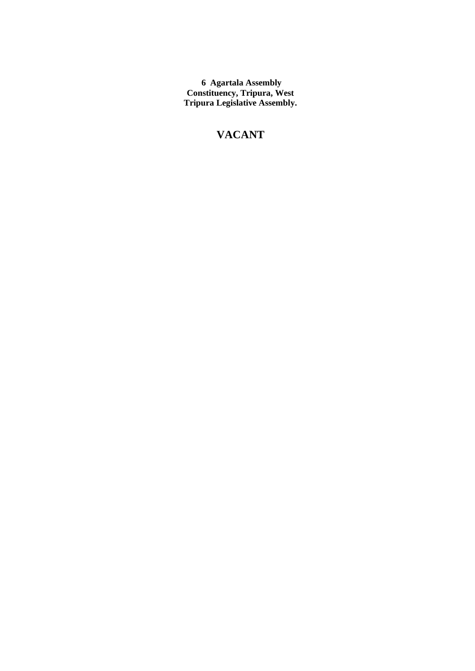**6 Agartala Assembly Constituency, Tripura, West Tripura Legislative Assembly.**

### **VACANT**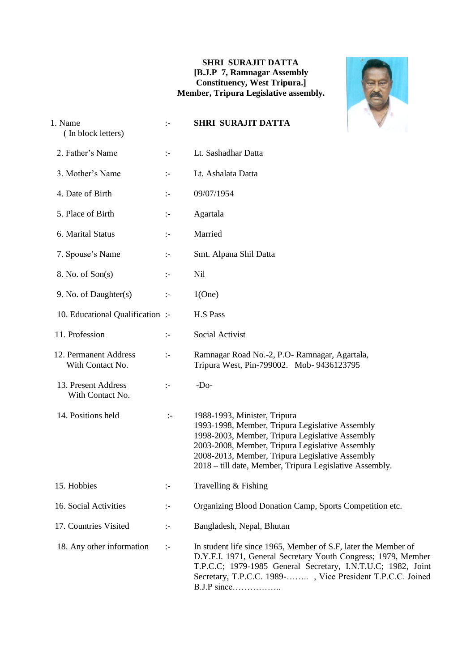#### **SHRI SURAJIT DATTA [B.J.P 7, Ramnagar Assembly Constituency, West Tripura.] Member, Tripura Legislative assembly.**

![](_page_57_Picture_1.jpeg)

| 1. Name<br>(In block letters)             | $\mathbf{L}$         | <b>SHRI SURAJIT DATTA</b>                                                                                                                                                                                                                                                                                           |
|-------------------------------------------|----------------------|---------------------------------------------------------------------------------------------------------------------------------------------------------------------------------------------------------------------------------------------------------------------------------------------------------------------|
| 2. Father's Name                          | $\mathbf{I}$         | Lt. Sashadhar Datta                                                                                                                                                                                                                                                                                                 |
| 3. Mother's Name                          | $\mathbb{I}$         | Lt. Ashalata Datta                                                                                                                                                                                                                                                                                                  |
| 4. Date of Birth                          | $\mathbb{I}$         | 09/07/1954                                                                                                                                                                                                                                                                                                          |
| 5. Place of Birth                         | $\mathbb{I}$         | Agartala                                                                                                                                                                                                                                                                                                            |
| 6. Marital Status                         | $\mathbf{I}$         | Married                                                                                                                                                                                                                                                                                                             |
| 7. Spouse's Name                          | $\mathbf{I}$         | Smt. Alpana Shil Datta                                                                                                                                                                                                                                                                                              |
| 8. No. of Son(s)                          | :-                   | <b>Nil</b>                                                                                                                                                                                                                                                                                                          |
| 9. No. of Daughter(s)                     | $\mathbf{I}$         | 1(One)                                                                                                                                                                                                                                                                                                              |
| 10. Educational Qualification :-          |                      | <b>H.S Pass</b>                                                                                                                                                                                                                                                                                                     |
| 11. Profession                            | $\div$               | Social Activist                                                                                                                                                                                                                                                                                                     |
| 12. Permanent Address<br>With Contact No. | $\mathbb{I}^{\perp}$ | Ramnagar Road No.-2, P.O- Ramnagar, Agartala,<br>Tripura West, Pin-799002. Mob-9436123795                                                                                                                                                                                                                           |
| 13. Present Address<br>With Contact No.   | $\mathbb{I}$         | $-Do-$                                                                                                                                                                                                                                                                                                              |
| 14. Positions held                        | $\mathbb{I}^-$       | 1988-1993, Minister, Tripura<br>1993-1998, Member, Tripura Legislative Assembly<br>1998-2003, Member, Tripura Legislative Assembly<br>2003-2008, Member, Tripura Legislative Assembly<br>2008-2013, Member, Tripura Legislative Assembly<br>2018 – till date, Member, Tripura Legislative Assembly.                 |
| 15. Hobbies                               | :-                   | Travelling & Fishing                                                                                                                                                                                                                                                                                                |
| 16. Social Activities                     | $\mathbb{I}^-$       | Organizing Blood Donation Camp, Sports Competition etc.                                                                                                                                                                                                                                                             |
| 17. Countries Visited                     | $\mathbb{I}^{\perp}$ | Bangladesh, Nepal, Bhutan                                                                                                                                                                                                                                                                                           |
| 18. Any other information                 | $\mathbb{H}$         | In student life since 1965, Member of S.F, later the Member of<br>D.Y.F.I. 1971, General Secretary Youth Congress; 1979, Member<br>T.P.C.C; 1979-1985 General Secretary, I.N.T.U.C; 1982, Joint<br>Secretary, T.P.C.C. 1989-, Vice President T.P.C.C. Joined<br>$B.J.P \text{ since} \dots \dots \dots \dots \dots$ |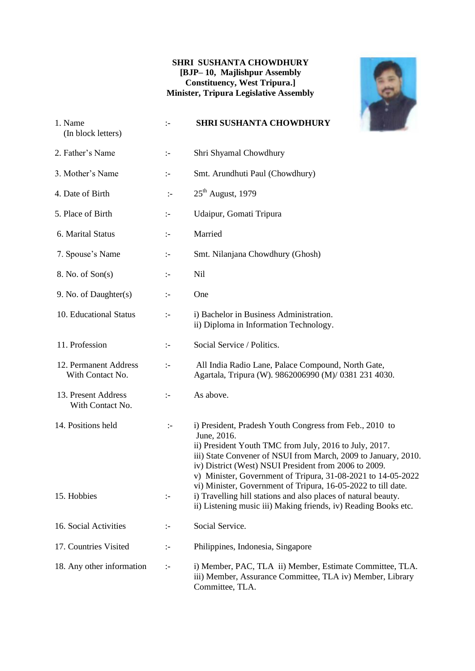#### **SHRI SUSHANTA CHOWDHURY [BJP– 10, Majlishpur Assembly Constituency, West Tripura.] Minister, Tripura Legislative Assembly**

![](_page_58_Picture_1.jpeg)

| 1. Name<br>(In block letters)             | $\mathbb{I}^-$       | <b>SHRI SUSHANTA CHOWDHURY</b>                                                                                                                                                                                                                                                                                                                                                               |
|-------------------------------------------|----------------------|----------------------------------------------------------------------------------------------------------------------------------------------------------------------------------------------------------------------------------------------------------------------------------------------------------------------------------------------------------------------------------------------|
| 2. Father's Name                          | $\mathbb{I}^-$       | Shri Shyamal Chowdhury                                                                                                                                                                                                                                                                                                                                                                       |
| 3. Mother's Name                          | $\div$               | Smt. Arundhuti Paul (Chowdhury)                                                                                                                                                                                                                                                                                                                                                              |
| 4. Date of Birth                          | $\mathbb{I}^-$       | $25th$ August, 1979                                                                                                                                                                                                                                                                                                                                                                          |
| 5. Place of Birth                         | $\mathbb{I}^{\perp}$ | Udaipur, Gomati Tripura                                                                                                                                                                                                                                                                                                                                                                      |
| 6. Marital Status                         | $\mathbb{I}^-$       | Married                                                                                                                                                                                                                                                                                                                                                                                      |
| 7. Spouse's Name                          | $\mathbb{I}^-$       | Smt. Nilanjana Chowdhury (Ghosh)                                                                                                                                                                                                                                                                                                                                                             |
| 8. No. of Son(s)                          | ÷                    | Nil                                                                                                                                                                                                                                                                                                                                                                                          |
| 9. No. of Daughter(s)                     | $\mathbf{I}$         | One                                                                                                                                                                                                                                                                                                                                                                                          |
| 10. Educational Status                    | $\div$               | i) Bachelor in Business Administration.<br>ii) Diploma in Information Technology.                                                                                                                                                                                                                                                                                                            |
| 11. Profession                            | $\mathbb{I}^-$       | Social Service / Politics.                                                                                                                                                                                                                                                                                                                                                                   |
| 12. Permanent Address<br>With Contact No. | $\div$               | All India Radio Lane, Palace Compound, North Gate,<br>Agartala, Tripura (W). 9862006990 (M)/ 0381 231 4030.                                                                                                                                                                                                                                                                                  |
| 13. Present Address<br>With Contact No.   | $\mathbb{I}^-$       | As above.                                                                                                                                                                                                                                                                                                                                                                                    |
| 14. Positions held                        | $\mathbb{I}^{\perp}$ | i) President, Pradesh Youth Congress from Feb., 2010 to<br>June, 2016.<br>ii) President Youth TMC from July, 2016 to July, 2017.<br>iii) State Convener of NSUI from March, 2009 to January, 2010.<br>iv) District (West) NSUI President from 2006 to 2009.<br>v) Minister, Government of Tripura, 31-08-2021 to 14-05-2022<br>vi) Minister, Government of Tripura, 16-05-2022 to till date. |
| 15. Hobbies                               | ÷                    | i) Travelling hill stations and also places of natural beauty.<br>ii) Listening music iii) Making friends, iv) Reading Books etc.                                                                                                                                                                                                                                                            |
| 16. Social Activities                     | $\mathbb{I}^{\perp}$ | Social Service.                                                                                                                                                                                                                                                                                                                                                                              |
| 17. Countries Visited                     | ÷                    | Philippines, Indonesia, Singapore                                                                                                                                                                                                                                                                                                                                                            |
| 18. Any other information                 | $\mathbb{I}^{\perp}$ | i) Member, PAC, TLA ii) Member, Estimate Committee, TLA.<br>iii) Member, Assurance Committee, TLA iv) Member, Library<br>Committee, TLA.                                                                                                                                                                                                                                                     |